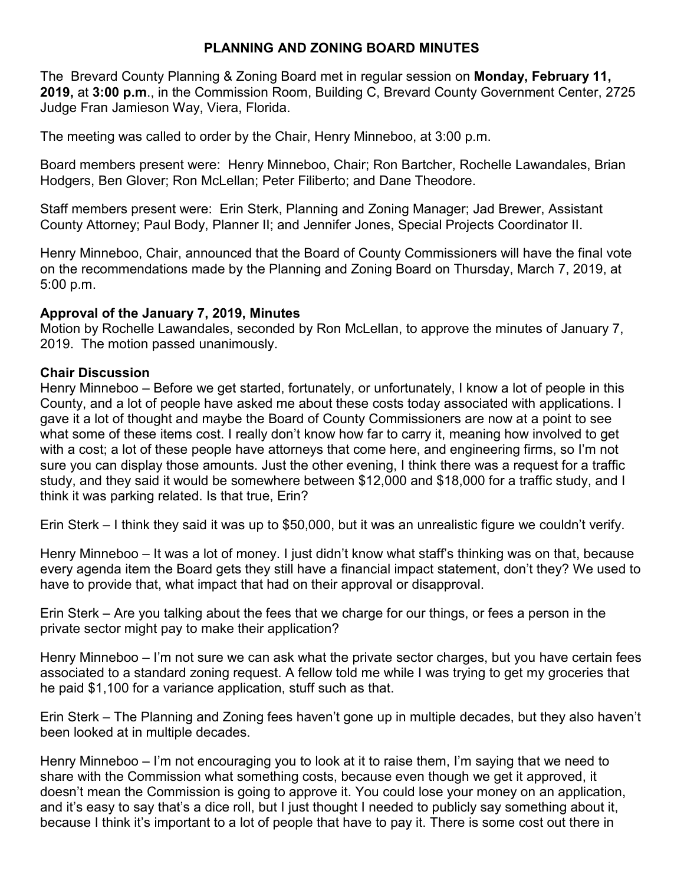# **PLANNING AND ZONING BOARD MINUTES**

The Brevard County Planning & Zoning Board met in regular session on **Monday, February 11, 2019,** at **3:00 p.m**., in the Commission Room, Building C, Brevard County Government Center, 2725 Judge Fran Jamieson Way, Viera, Florida.

The meeting was called to order by the Chair, Henry Minneboo, at 3:00 p.m.

Board members present were: Henry Minneboo, Chair; Ron Bartcher, Rochelle Lawandales, Brian Hodgers, Ben Glover; Ron McLellan; Peter Filiberto; and Dane Theodore.

Staff members present were: Erin Sterk, Planning and Zoning Manager; Jad Brewer, Assistant County Attorney; Paul Body, Planner II; and Jennifer Jones, Special Projects Coordinator II.

Henry Minneboo, Chair, announced that the Board of County Commissioners will have the final vote on the recommendations made by the Planning and Zoning Board on Thursday, March 7, 2019, at 5:00 p.m.

### **Approval of the January 7, 2019, Minutes**

Motion by Rochelle Lawandales, seconded by Ron McLellan, to approve the minutes of January 7, 2019. The motion passed unanimously.

### **Chair Discussion**

Henry Minneboo – Before we get started, fortunately, or unfortunately, I know a lot of people in this County, and a lot of people have asked me about these costs today associated with applications. I gave it a lot of thought and maybe the Board of County Commissioners are now at a point to see what some of these items cost. I really don't know how far to carry it, meaning how involved to get with a cost; a lot of these people have attorneys that come here, and engineering firms, so I'm not sure you can display those amounts. Just the other evening, I think there was a request for a traffic study, and they said it would be somewhere between \$12,000 and \$18,000 for a traffic study, and I think it was parking related. Is that true, Erin?

Erin Sterk – I think they said it was up to \$50,000, but it was an unrealistic figure we couldn't verify.

Henry Minneboo – It was a lot of money. I just didn't know what staff's thinking was on that, because every agenda item the Board gets they still have a financial impact statement, don't they? We used to have to provide that, what impact that had on their approval or disapproval.

Erin Sterk – Are you talking about the fees that we charge for our things, or fees a person in the private sector might pay to make their application?

Henry Minneboo – I'm not sure we can ask what the private sector charges, but you have certain fees associated to a standard zoning request. A fellow told me while I was trying to get my groceries that he paid \$1,100 for a variance application, stuff such as that.

Erin Sterk – The Planning and Zoning fees haven't gone up in multiple decades, but they also haven't been looked at in multiple decades.

Henry Minneboo – I'm not encouraging you to look at it to raise them, I'm saying that we need to share with the Commission what something costs, because even though we get it approved, it doesn't mean the Commission is going to approve it. You could lose your money on an application, and it's easy to say that's a dice roll, but I just thought I needed to publicly say something about it, because I think it's important to a lot of people that have to pay it. There is some cost out there in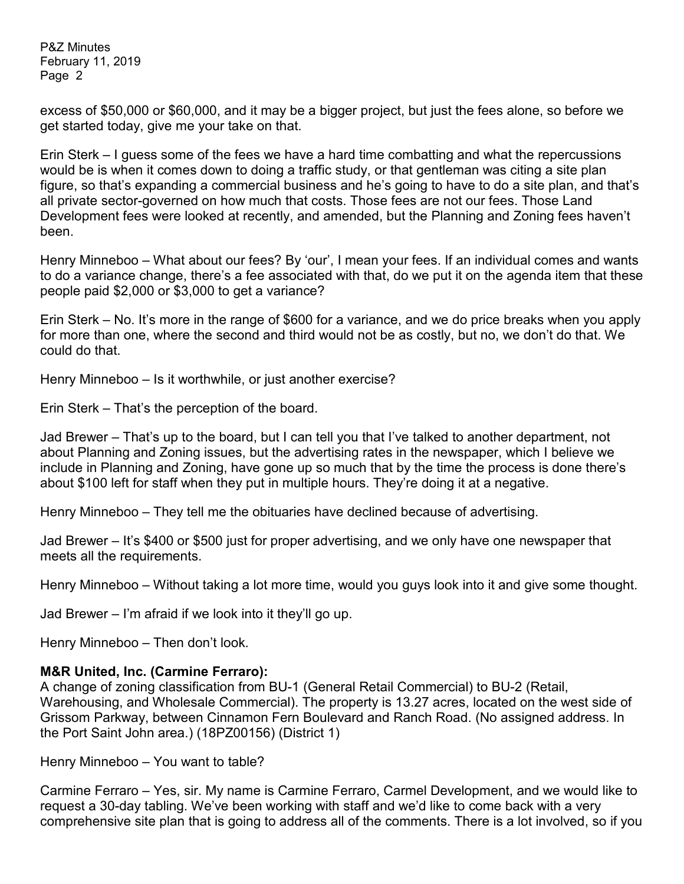excess of \$50,000 or \$60,000, and it may be a bigger project, but just the fees alone, so before we get started today, give me your take on that.

Erin Sterk – I guess some of the fees we have a hard time combatting and what the repercussions would be is when it comes down to doing a traffic study, or that gentleman was citing a site plan figure, so that's expanding a commercial business and he's going to have to do a site plan, and that's all private sector-governed on how much that costs. Those fees are not our fees. Those Land Development fees were looked at recently, and amended, but the Planning and Zoning fees haven't been.

Henry Minneboo – What about our fees? By 'our', I mean your fees. If an individual comes and wants to do a variance change, there's a fee associated with that, do we put it on the agenda item that these people paid \$2,000 or \$3,000 to get a variance?

Erin Sterk – No. It's more in the range of \$600 for a variance, and we do price breaks when you apply for more than one, where the second and third would not be as costly, but no, we don't do that. We could do that.

Henry Minneboo – Is it worthwhile, or just another exercise?

Erin Sterk – That's the perception of the board.

Jad Brewer – That's up to the board, but I can tell you that I've talked to another department, not about Planning and Zoning issues, but the advertising rates in the newspaper, which I believe we include in Planning and Zoning, have gone up so much that by the time the process is done there's about \$100 left for staff when they put in multiple hours. They're doing it at a negative.

Henry Minneboo – They tell me the obituaries have declined because of advertising.

Jad Brewer – It's \$400 or \$500 just for proper advertising, and we only have one newspaper that meets all the requirements.

Henry Minneboo – Without taking a lot more time, would you guys look into it and give some thought.

Jad Brewer – I'm afraid if we look into it they'll go up.

Henry Minneboo – Then don't look.

### **M&R United, Inc. (Carmine Ferraro):**

A change of zoning classification from BU-1 (General Retail Commercial) to BU-2 (Retail, Warehousing, and Wholesale Commercial). The property is 13.27 acres, located on the west side of Grissom Parkway, between Cinnamon Fern Boulevard and Ranch Road. (No assigned address. In the Port Saint John area.) (18PZ00156) (District 1)

Henry Minneboo – You want to table?

Carmine Ferraro – Yes, sir. My name is Carmine Ferraro, Carmel Development, and we would like to request a 30-day tabling. We've been working with staff and we'd like to come back with a very comprehensive site plan that is going to address all of the comments. There is a lot involved, so if you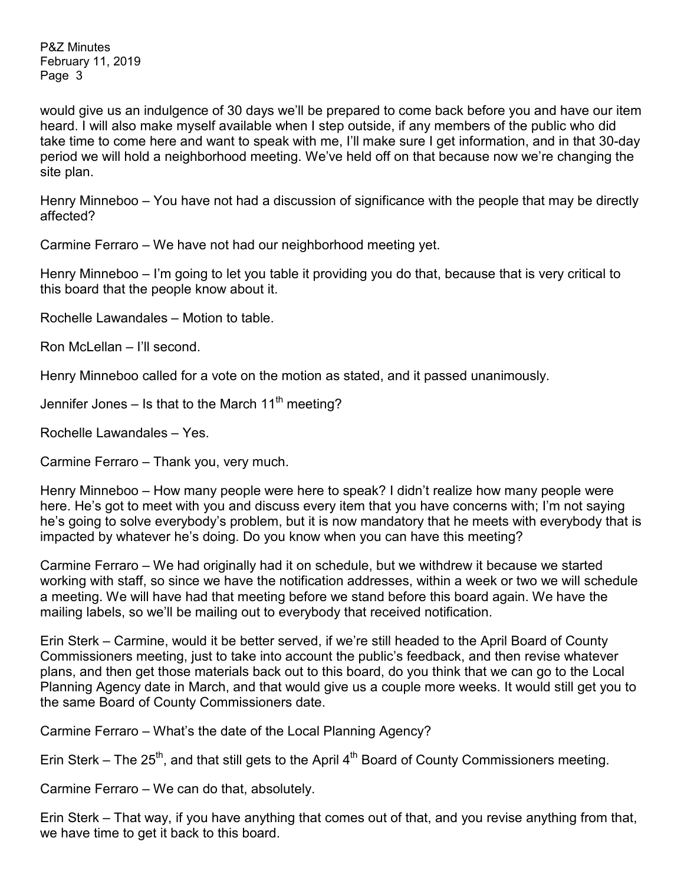would give us an indulgence of 30 days we'll be prepared to come back before you and have our item heard. I will also make myself available when I step outside, if any members of the public who did take time to come here and want to speak with me, I'll make sure I get information, and in that 30-day period we will hold a neighborhood meeting. We've held off on that because now we're changing the site plan.

Henry Minneboo – You have not had a discussion of significance with the people that may be directly affected?

Carmine Ferraro – We have not had our neighborhood meeting yet.

Henry Minneboo – I'm going to let you table it providing you do that, because that is very critical to this board that the people know about it.

Rochelle Lawandales – Motion to table.

Ron McLellan – I'll second.

Henry Minneboo called for a vote on the motion as stated, and it passed unanimously.

Jennifer Jones – Is that to the March  $11<sup>th</sup>$  meeting?

Rochelle Lawandales – Yes.

Carmine Ferraro – Thank you, very much.

Henry Minneboo – How many people were here to speak? I didn't realize how many people were here. He's got to meet with you and discuss every item that you have concerns with; I'm not saying he's going to solve everybody's problem, but it is now mandatory that he meets with everybody that is impacted by whatever he's doing. Do you know when you can have this meeting?

Carmine Ferraro – We had originally had it on schedule, but we withdrew it because we started working with staff, so since we have the notification addresses, within a week or two we will schedule a meeting. We will have had that meeting before we stand before this board again. We have the mailing labels, so we'll be mailing out to everybody that received notification.

Erin Sterk – Carmine, would it be better served, if we're still headed to the April Board of County Commissioners meeting, just to take into account the public's feedback, and then revise whatever plans, and then get those materials back out to this board, do you think that we can go to the Local Planning Agency date in March, and that would give us a couple more weeks. It would still get you to the same Board of County Commissioners date.

Carmine Ferraro – What's the date of the Local Planning Agency?

Erin Sterk – The 25<sup>th</sup>, and that still gets to the April 4<sup>th</sup> Board of County Commissioners meeting.

Carmine Ferraro – We can do that, absolutely.

Erin Sterk – That way, if you have anything that comes out of that, and you revise anything from that, we have time to get it back to this board.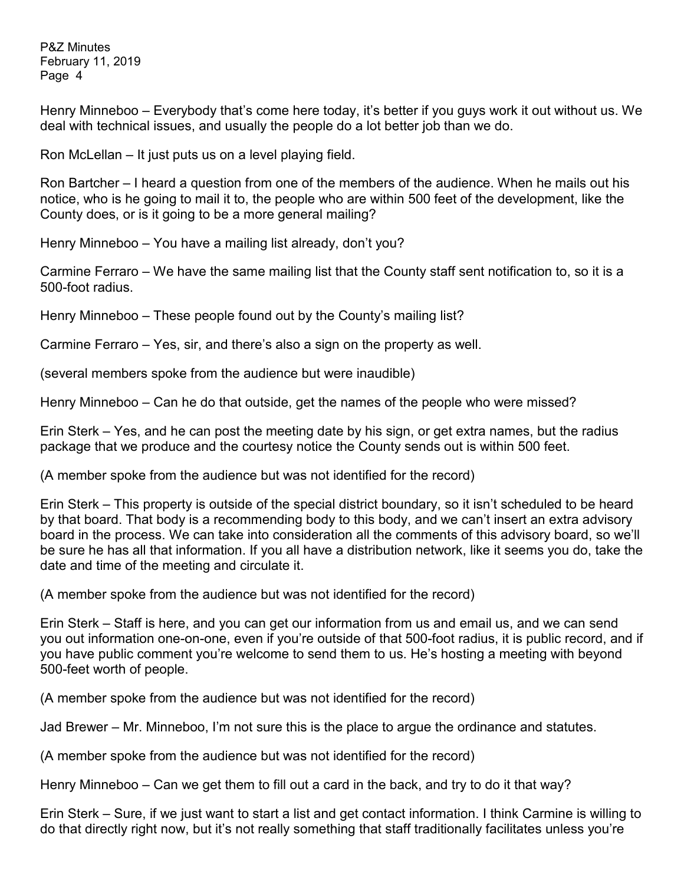Henry Minneboo – Everybody that's come here today, it's better if you guys work it out without us. We deal with technical issues, and usually the people do a lot better job than we do.

Ron McLellan – It just puts us on a level playing field.

Ron Bartcher – I heard a question from one of the members of the audience. When he mails out his notice, who is he going to mail it to, the people who are within 500 feet of the development, like the County does, or is it going to be a more general mailing?

Henry Minneboo – You have a mailing list already, don't you?

Carmine Ferraro – We have the same mailing list that the County staff sent notification to, so it is a 500-foot radius.

Henry Minneboo – These people found out by the County's mailing list?

Carmine Ferraro – Yes, sir, and there's also a sign on the property as well.

(several members spoke from the audience but were inaudible)

Henry Minneboo – Can he do that outside, get the names of the people who were missed?

Erin Sterk – Yes, and he can post the meeting date by his sign, or get extra names, but the radius package that we produce and the courtesy notice the County sends out is within 500 feet.

(A member spoke from the audience but was not identified for the record)

Erin Sterk – This property is outside of the special district boundary, so it isn't scheduled to be heard by that board. That body is a recommending body to this body, and we can't insert an extra advisory board in the process. We can take into consideration all the comments of this advisory board, so we'll be sure he has all that information. If you all have a distribution network, like it seems you do, take the date and time of the meeting and circulate it.

(A member spoke from the audience but was not identified for the record)

Erin Sterk – Staff is here, and you can get our information from us and email us, and we can send you out information one-on-one, even if you're outside of that 500-foot radius, it is public record, and if you have public comment you're welcome to send them to us. He's hosting a meeting with beyond 500-feet worth of people.

(A member spoke from the audience but was not identified for the record)

Jad Brewer – Mr. Minneboo, I'm not sure this is the place to argue the ordinance and statutes.

(A member spoke from the audience but was not identified for the record)

Henry Minneboo – Can we get them to fill out a card in the back, and try to do it that way?

Erin Sterk – Sure, if we just want to start a list and get contact information. I think Carmine is willing to do that directly right now, but it's not really something that staff traditionally facilitates unless you're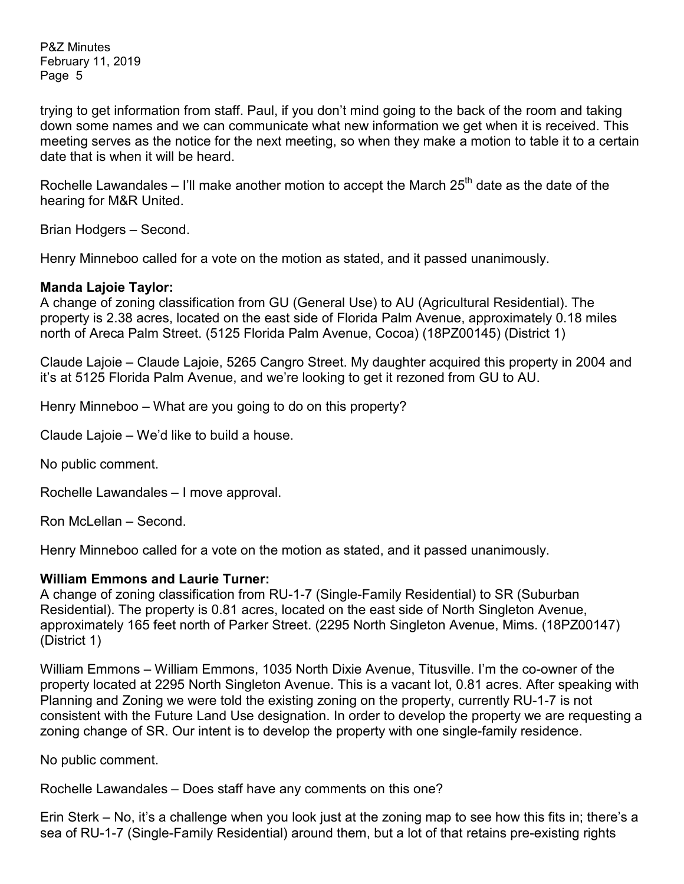trying to get information from staff. Paul, if you don't mind going to the back of the room and taking down some names and we can communicate what new information we get when it is received. This meeting serves as the notice for the next meeting, so when they make a motion to table it to a certain date that is when it will be heard.

Rochelle Lawandales – I'll make another motion to accept the March  $25<sup>th</sup>$  date as the date of the hearing for M&R United.

Brian Hodgers – Second.

Henry Minneboo called for a vote on the motion as stated, and it passed unanimously.

#### **Manda Lajoie Taylor:**

A change of zoning classification from GU (General Use) to AU (Agricultural Residential). The property is 2.38 acres, located on the east side of Florida Palm Avenue, approximately 0.18 miles north of Areca Palm Street. (5125 Florida Palm Avenue, Cocoa) (18PZ00145) (District 1)

Claude Lajoie – Claude Lajoie, 5265 Cangro Street. My daughter acquired this property in 2004 and it's at 5125 Florida Palm Avenue, and we're looking to get it rezoned from GU to AU.

Henry Minneboo – What are you going to do on this property?

Claude Lajoie – We'd like to build a house.

No public comment.

Rochelle Lawandales – I move approval.

Ron McLellan – Second.

Henry Minneboo called for a vote on the motion as stated, and it passed unanimously.

### **William Emmons and Laurie Turner:**

A change of zoning classification from RU-1-7 (Single-Family Residential) to SR (Suburban Residential). The property is 0.81 acres, located on the east side of North Singleton Avenue, approximately 165 feet north of Parker Street. (2295 North Singleton Avenue, Mims. (18PZ00147) (District 1)

William Emmons – William Emmons, 1035 North Dixie Avenue, Titusville. I'm the co-owner of the property located at 2295 North Singleton Avenue. This is a vacant lot, 0.81 acres. After speaking with Planning and Zoning we were told the existing zoning on the property, currently RU-1-7 is not consistent with the Future Land Use designation. In order to develop the property we are requesting a zoning change of SR. Our intent is to develop the property with one single-family residence.

No public comment.

Rochelle Lawandales – Does staff have any comments on this one?

Erin Sterk – No, it's a challenge when you look just at the zoning map to see how this fits in; there's a sea of RU-1-7 (Single-Family Residential) around them, but a lot of that retains pre-existing rights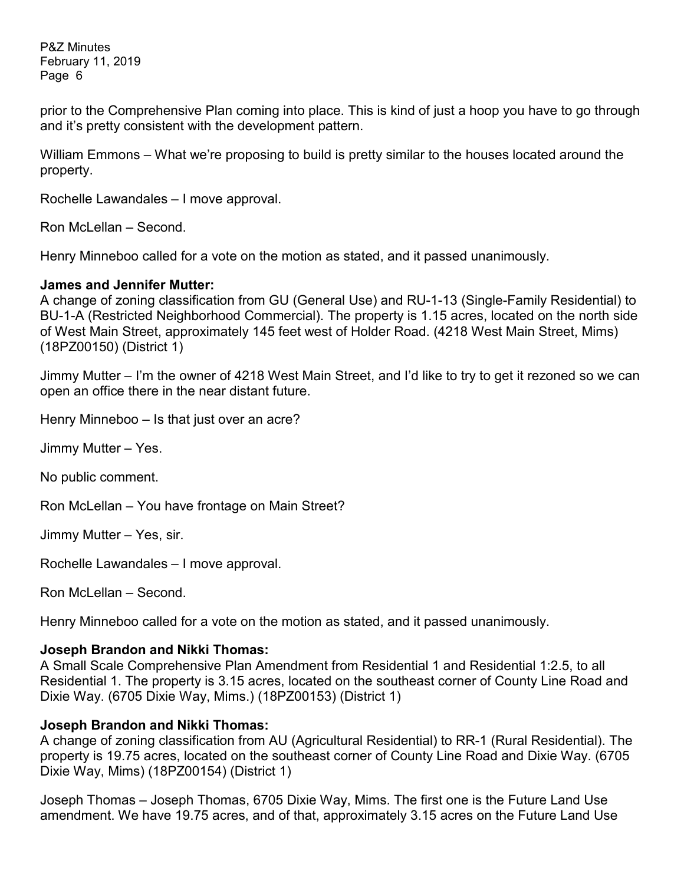prior to the Comprehensive Plan coming into place. This is kind of just a hoop you have to go through and it's pretty consistent with the development pattern.

William Emmons – What we're proposing to build is pretty similar to the houses located around the property.

Rochelle Lawandales – I move approval.

Ron McLellan – Second.

Henry Minneboo called for a vote on the motion as stated, and it passed unanimously.

#### **James and Jennifer Mutter:**

A change of zoning classification from GU (General Use) and RU-1-13 (Single-Family Residential) to BU-1-A (Restricted Neighborhood Commercial). The property is 1.15 acres, located on the north side of West Main Street, approximately 145 feet west of Holder Road. (4218 West Main Street, Mims) (18PZ00150) (District 1)

Jimmy Mutter – I'm the owner of 4218 West Main Street, and I'd like to try to get it rezoned so we can open an office there in the near distant future.

Henry Minneboo – Is that just over an acre?

Jimmy Mutter – Yes.

No public comment.

Ron McLellan – You have frontage on Main Street?

Jimmy Mutter – Yes, sir.

Rochelle Lawandales – I move approval.

Ron McLellan – Second.

Henry Minneboo called for a vote on the motion as stated, and it passed unanimously.

### **Joseph Brandon and Nikki Thomas:**

A Small Scale Comprehensive Plan Amendment from Residential 1 and Residential 1:2.5, to all Residential 1. The property is 3.15 acres, located on the southeast corner of County Line Road and Dixie Way. (6705 Dixie Way, Mims.) (18PZ00153) (District 1)

### **Joseph Brandon and Nikki Thomas:**

A change of zoning classification from AU (Agricultural Residential) to RR-1 (Rural Residential). The property is 19.75 acres, located on the southeast corner of County Line Road and Dixie Way. (6705 Dixie Way, Mims) (18PZ00154) (District 1)

Joseph Thomas – Joseph Thomas, 6705 Dixie Way, Mims. The first one is the Future Land Use amendment. We have 19.75 acres, and of that, approximately 3.15 acres on the Future Land Use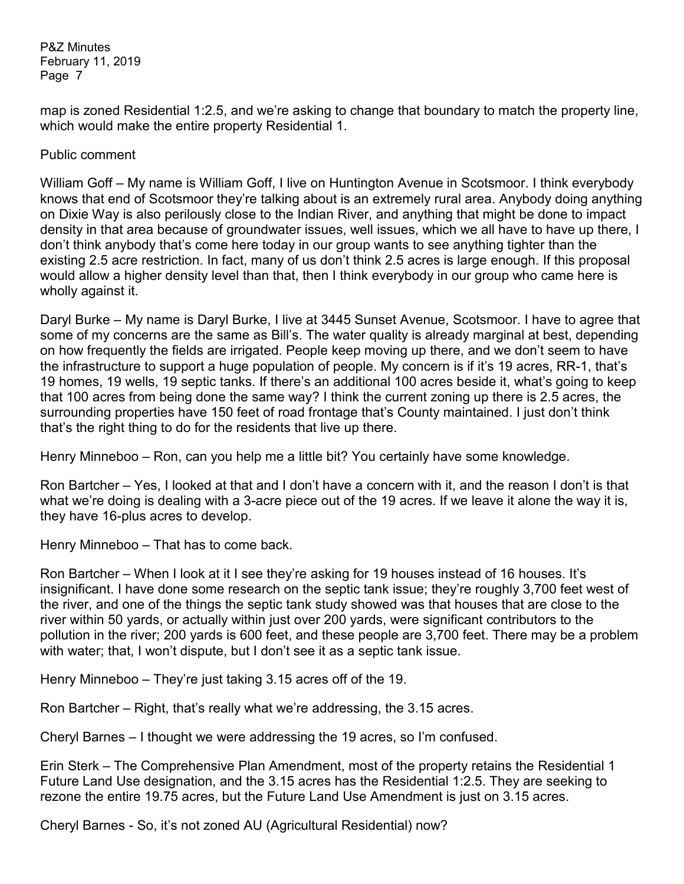map is zoned Residential 1:2.5, and we're asking to change that boundary to match the property line, which would make the entire property Residential 1.

#### Public comment

William Goff – My name is William Goff, I live on Huntington Avenue in Scotsmoor. I think everybody knows that end of Scotsmoor they're talking about is an extremely rural area. Anybody doing anything on Dixie Way is also perilously close to the Indian River, and anything that might be done to impact density in that area because of groundwater issues, well issues, which we all have to have up there, I don't think anybody that's come here today in our group wants to see anything tighter than the existing 2.5 acre restriction. In fact, many of us don't think 2.5 acres is large enough. If this proposal would allow a higher density level than that, then I think everybody in our group who came here is wholly against it.

Daryl Burke – My name is Daryl Burke, I live at 3445 Sunset Avenue, Scotsmoor. I have to agree that some of my concerns are the same as Bill's. The water quality is already marginal at best, depending on how frequently the fields are irrigated. People keep moving up there, and we don't seem to have the infrastructure to support a huge population of people. My concern is if it's 19 acres, RR-1, that's 19 homes, 19 wells, 19 septic tanks. If there's an additional 100 acres beside it, what's going to keep that 100 acres from being done the same way? I think the current zoning up there is 2.5 acres, the surrounding properties have 150 feet of road frontage that's County maintained. I just don't think that's the right thing to do for the residents that live up there.

Henry Minneboo – Ron, can you help me a little bit? You certainly have some knowledge.

Ron Bartcher – Yes, I looked at that and I don't have a concern with it, and the reason I don't is that what we're doing is dealing with a 3-acre piece out of the 19 acres. If we leave it alone the way it is, they have 16-plus acres to develop.

Henry Minneboo – That has to come back.

Ron Bartcher – When I look at it I see they're asking for 19 houses instead of 16 houses. It's insignificant. I have done some research on the septic tank issue; they're roughly 3,700 feet west of the river, and one of the things the septic tank study showed was that houses that are close to the river within 50 yards, or actually within just over 200 yards, were significant contributors to the pollution in the river; 200 yards is 600 feet, and these people are 3,700 feet. There may be a problem with water; that, I won't dispute, but I don't see it as a septic tank issue.

Henry Minneboo – They're just taking 3.15 acres off of the 19.

Ron Bartcher – Right, that's really what we're addressing, the 3.15 acres.

Cheryl Barnes – I thought we were addressing the 19 acres, so I'm confused.

Erin Sterk – The Comprehensive Plan Amendment, most of the property retains the Residential 1 Future Land Use designation, and the 3.15 acres has the Residential 1:2.5. They are seeking to rezone the entire 19.75 acres, but the Future Land Use Amendment is just on 3.15 acres.

Cheryl Barnes - So, it's not zoned AU (Agricultural Residential) now?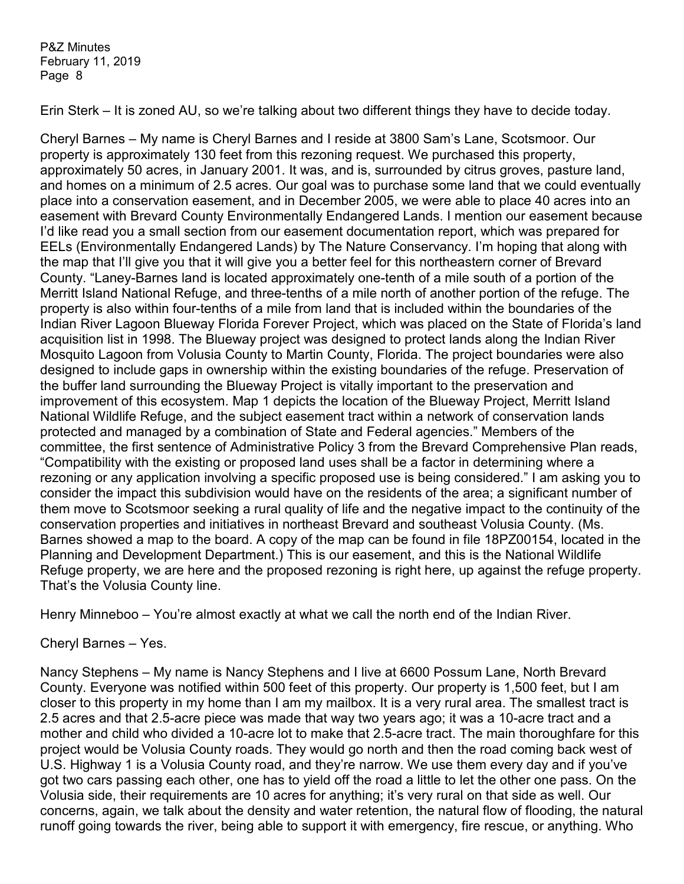Erin Sterk – It is zoned AU, so we're talking about two different things they have to decide today.

Cheryl Barnes – My name is Cheryl Barnes and I reside at 3800 Sam's Lane, Scotsmoor. Our property is approximately 130 feet from this rezoning request. We purchased this property, approximately 50 acres, in January 2001. It was, and is, surrounded by citrus groves, pasture land, and homes on a minimum of 2.5 acres. Our goal was to purchase some land that we could eventually place into a conservation easement, and in December 2005, we were able to place 40 acres into an easement with Brevard County Environmentally Endangered Lands. I mention our easement because I'd like read you a small section from our easement documentation report, which was prepared for EELs (Environmentally Endangered Lands) by The Nature Conservancy. I'm hoping that along with the map that I'll give you that it will give you a better feel for this northeastern corner of Brevard County. "Laney-Barnes land is located approximately one-tenth of a mile south of a portion of the Merritt Island National Refuge, and three-tenths of a mile north of another portion of the refuge. The property is also within four-tenths of a mile from land that is included within the boundaries of the Indian River Lagoon Blueway Florida Forever Project, which was placed on the State of Florida's land acquisition list in 1998. The Blueway project was designed to protect lands along the Indian River Mosquito Lagoon from Volusia County to Martin County, Florida. The project boundaries were also designed to include gaps in ownership within the existing boundaries of the refuge. Preservation of the buffer land surrounding the Blueway Project is vitally important to the preservation and improvement of this ecosystem. Map 1 depicts the location of the Blueway Project, Merritt Island National Wildlife Refuge, and the subject easement tract within a network of conservation lands protected and managed by a combination of State and Federal agencies." Members of the committee, the first sentence of Administrative Policy 3 from the Brevard Comprehensive Plan reads, "Compatibility with the existing or proposed land uses shall be a factor in determining where a rezoning or any application involving a specific proposed use is being considered." I am asking you to consider the impact this subdivision would have on the residents of the area; a significant number of them move to Scotsmoor seeking a rural quality of life and the negative impact to the continuity of the conservation properties and initiatives in northeast Brevard and southeast Volusia County. (Ms. Barnes showed a map to the board. A copy of the map can be found in file 18PZ00154, located in the Planning and Development Department.) This is our easement, and this is the National Wildlife Refuge property, we are here and the proposed rezoning is right here, up against the refuge property. That's the Volusia County line.

Henry Minneboo – You're almost exactly at what we call the north end of the Indian River.

### Cheryl Barnes – Yes.

Nancy Stephens – My name is Nancy Stephens and I live at 6600 Possum Lane, North Brevard County. Everyone was notified within 500 feet of this property. Our property is 1,500 feet, but I am closer to this property in my home than I am my mailbox. It is a very rural area. The smallest tract is 2.5 acres and that 2.5-acre piece was made that way two years ago; it was a 10-acre tract and a mother and child who divided a 10-acre lot to make that 2.5-acre tract. The main thoroughfare for this project would be Volusia County roads. They would go north and then the road coming back west of U.S. Highway 1 is a Volusia County road, and they're narrow. We use them every day and if you've got two cars passing each other, one has to yield off the road a little to let the other one pass. On the Volusia side, their requirements are 10 acres for anything; it's very rural on that side as well. Our concerns, again, we talk about the density and water retention, the natural flow of flooding, the natural runoff going towards the river, being able to support it with emergency, fire rescue, or anything. Who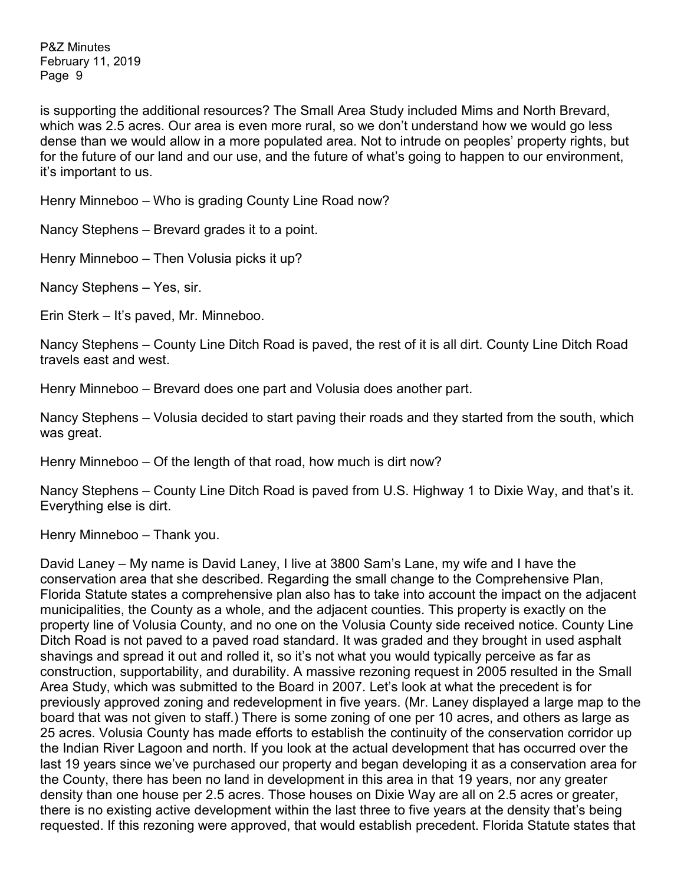is supporting the additional resources? The Small Area Study included Mims and North Brevard, which was 2.5 acres. Our area is even more rural, so we don't understand how we would go less dense than we would allow in a more populated area. Not to intrude on peoples' property rights, but for the future of our land and our use, and the future of what's going to happen to our environment, it's important to us.

Henry Minneboo – Who is grading County Line Road now?

Nancy Stephens – Brevard grades it to a point.

Henry Minneboo – Then Volusia picks it up?

Nancy Stephens – Yes, sir.

Erin Sterk – It's paved, Mr. Minneboo.

Nancy Stephens – County Line Ditch Road is paved, the rest of it is all dirt. County Line Ditch Road travels east and west.

Henry Minneboo – Brevard does one part and Volusia does another part.

Nancy Stephens – Volusia decided to start paving their roads and they started from the south, which was great.

Henry Minneboo – Of the length of that road, how much is dirt now?

Nancy Stephens – County Line Ditch Road is paved from U.S. Highway 1 to Dixie Way, and that's it. Everything else is dirt.

Henry Minneboo – Thank you.

David Laney – My name is David Laney, I live at 3800 Sam's Lane, my wife and I have the conservation area that she described. Regarding the small change to the Comprehensive Plan, Florida Statute states a comprehensive plan also has to take into account the impact on the adjacent municipalities, the County as a whole, and the adjacent counties. This property is exactly on the property line of Volusia County, and no one on the Volusia County side received notice. County Line Ditch Road is not paved to a paved road standard. It was graded and they brought in used asphalt shavings and spread it out and rolled it, so it's not what you would typically perceive as far as construction, supportability, and durability. A massive rezoning request in 2005 resulted in the Small Area Study, which was submitted to the Board in 2007. Let's look at what the precedent is for previously approved zoning and redevelopment in five years. (Mr. Laney displayed a large map to the board that was not given to staff.) There is some zoning of one per 10 acres, and others as large as 25 acres. Volusia County has made efforts to establish the continuity of the conservation corridor up the Indian River Lagoon and north. If you look at the actual development that has occurred over the last 19 years since we've purchased our property and began developing it as a conservation area for the County, there has been no land in development in this area in that 19 years, nor any greater density than one house per 2.5 acres. Those houses on Dixie Way are all on 2.5 acres or greater, there is no existing active development within the last three to five years at the density that's being requested. If this rezoning were approved, that would establish precedent. Florida Statute states that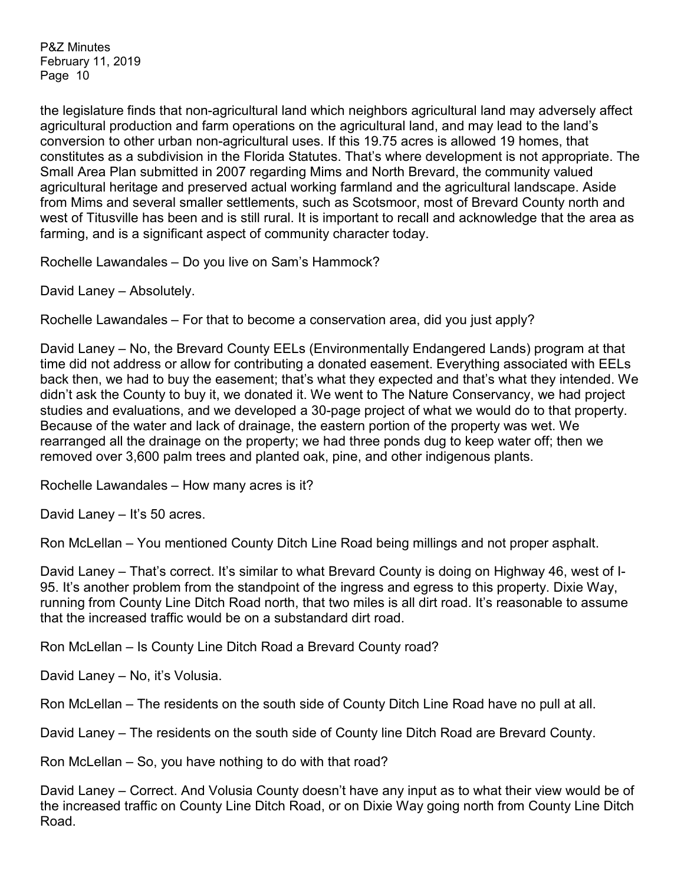the legislature finds that non-agricultural land which neighbors agricultural land may adversely affect agricultural production and farm operations on the agricultural land, and may lead to the land's conversion to other urban non-agricultural uses. If this 19.75 acres is allowed 19 homes, that constitutes as a subdivision in the Florida Statutes. That's where development is not appropriate. The Small Area Plan submitted in 2007 regarding Mims and North Brevard, the community valued agricultural heritage and preserved actual working farmland and the agricultural landscape. Aside from Mims and several smaller settlements, such as Scotsmoor, most of Brevard County north and west of Titusville has been and is still rural. It is important to recall and acknowledge that the area as farming, and is a significant aspect of community character today.

Rochelle Lawandales – Do you live on Sam's Hammock?

David Laney – Absolutely.

Rochelle Lawandales – For that to become a conservation area, did you just apply?

David Laney – No, the Brevard County EELs (Environmentally Endangered Lands) program at that time did not address or allow for contributing a donated easement. Everything associated with EELs back then, we had to buy the easement; that's what they expected and that's what they intended. We didn't ask the County to buy it, we donated it. We went to The Nature Conservancy, we had project studies and evaluations, and we developed a 30-page project of what we would do to that property. Because of the water and lack of drainage, the eastern portion of the property was wet. We rearranged all the drainage on the property; we had three ponds dug to keep water off; then we removed over 3,600 palm trees and planted oak, pine, and other indigenous plants.

Rochelle Lawandales – How many acres is it?

David Laney – It's 50 acres.

Ron McLellan – You mentioned County Ditch Line Road being millings and not proper asphalt.

David Laney – That's correct. It's similar to what Brevard County is doing on Highway 46, west of I-95. It's another problem from the standpoint of the ingress and egress to this property. Dixie Way, running from County Line Ditch Road north, that two miles is all dirt road. It's reasonable to assume that the increased traffic would be on a substandard dirt road.

Ron McLellan – Is County Line Ditch Road a Brevard County road?

David Laney – No, it's Volusia.

Ron McLellan – The residents on the south side of County Ditch Line Road have no pull at all.

David Laney – The residents on the south side of County line Ditch Road are Brevard County.

Ron McLellan – So, you have nothing to do with that road?

David Laney – Correct. And Volusia County doesn't have any input as to what their view would be of the increased traffic on County Line Ditch Road, or on Dixie Way going north from County Line Ditch Road.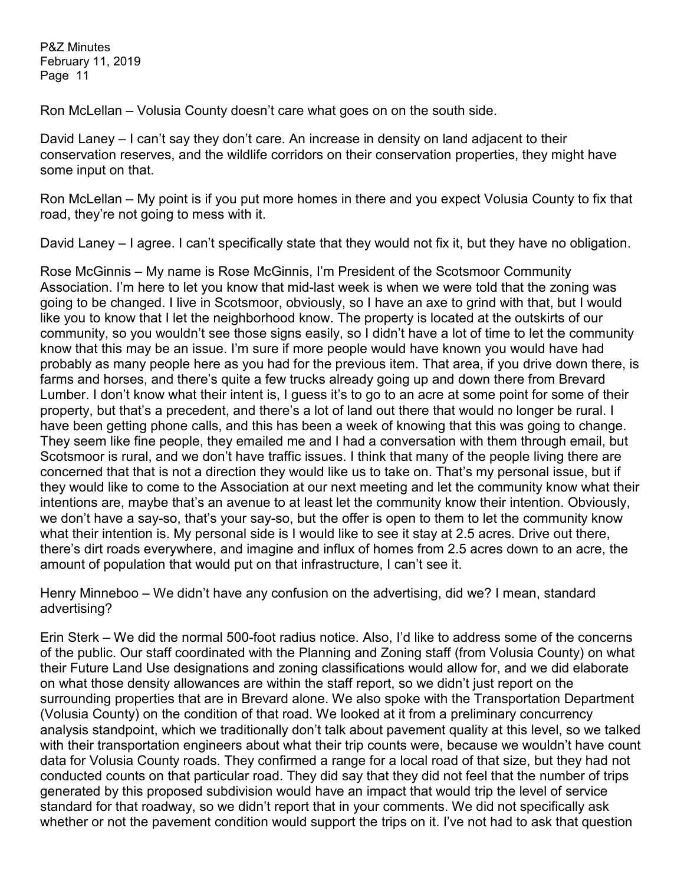Ron McLellan – Volusia County doesn't care what goes on on the south side.

David Laney – I can't say they don't care. An increase in density on land adjacent to their conservation reserves, and the wildlife corridors on their conservation properties, they might have some input on that.

Ron McLellan – My point is if you put more homes in there and you expect Volusia County to fix that road, they're not going to mess with it.

David Laney – I agree. I can't specifically state that they would not fix it, but they have no obligation.

Rose McGinnis – My name is Rose McGinnis, I'm President of the Scotsmoor Community Association. I'm here to let you know that mid-last week is when we were told that the zoning was going to be changed. I live in Scotsmoor, obviously, so I have an axe to grind with that, but I would like you to know that I let the neighborhood know. The property is located at the outskirts of our community, so you wouldn't see those signs easily, so I didn't have a lot of time to let the community know that this may be an issue. I'm sure if more people would have known you would have had probably as many people here as you had for the previous item. That area, if you drive down there, is farms and horses, and there's quite a few trucks already going up and down there from Brevard Lumber. I don't know what their intent is, I guess it's to go to an acre at some point for some of their property, but that's a precedent, and there's a lot of land out there that would no longer be rural. I have been getting phone calls, and this has been a week of knowing that this was going to change. They seem like fine people, they emailed me and I had a conversation with them through email, but Scotsmoor is rural, and we don't have traffic issues. I think that many of the people living there are concerned that that is not a direction they would like us to take on. That's my personal issue, but if they would like to come to the Association at our next meeting and let the community know what their intentions are, maybe that's an avenue to at least let the community know their intention. Obviously, we don't have a say-so, that's your say-so, but the offer is open to them to let the community know what their intention is. My personal side is I would like to see it stay at 2.5 acres. Drive out there, there's dirt roads everywhere, and imagine and influx of homes from 2.5 acres down to an acre, the amount of population that would put on that infrastructure, I can't see it.

Henry Minneboo – We didn't have any confusion on the advertising, did we? I mean, standard advertising?

Erin Sterk – We did the normal 500-foot radius notice. Also, I'd like to address some of the concerns of the public. Our staff coordinated with the Planning and Zoning staff (from Volusia County) on what their Future Land Use designations and zoning classifications would allow for, and we did elaborate on what those density allowances are within the staff report, so we didn't just report on the surrounding properties that are in Brevard alone. We also spoke with the Transportation Department (Volusia County) on the condition of that road. We looked at it from a preliminary concurrency analysis standpoint, which we traditionally don't talk about pavement quality at this level, so we talked with their transportation engineers about what their trip counts were, because we wouldn't have count data for Volusia County roads. They confirmed a range for a local road of that size, but they had not conducted counts on that particular road. They did say that they did not feel that the number of trips generated by this proposed subdivision would have an impact that would trip the level of service standard for that roadway, so we didn't report that in your comments. We did not specifically ask whether or not the pavement condition would support the trips on it. I've not had to ask that question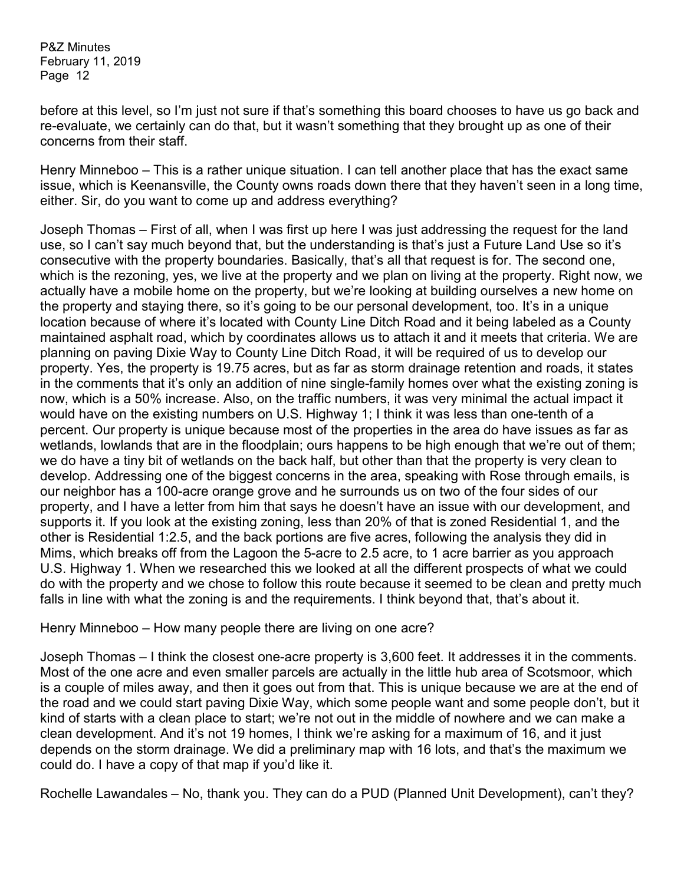before at this level, so I'm just not sure if that's something this board chooses to have us go back and re-evaluate, we certainly can do that, but it wasn't something that they brought up as one of their concerns from their staff.

Henry Minneboo – This is a rather unique situation. I can tell another place that has the exact same issue, which is Keenansville, the County owns roads down there that they haven't seen in a long time, either. Sir, do you want to come up and address everything?

Joseph Thomas – First of all, when I was first up here I was just addressing the request for the land use, so I can't say much beyond that, but the understanding is that's just a Future Land Use so it's consecutive with the property boundaries. Basically, that's all that request is for. The second one, which is the rezoning, yes, we live at the property and we plan on living at the property. Right now, we actually have a mobile home on the property, but we're looking at building ourselves a new home on the property and staying there, so it's going to be our personal development, too. It's in a unique location because of where it's located with County Line Ditch Road and it being labeled as a County maintained asphalt road, which by coordinates allows us to attach it and it meets that criteria. We are planning on paving Dixie Way to County Line Ditch Road, it will be required of us to develop our property. Yes, the property is 19.75 acres, but as far as storm drainage retention and roads, it states in the comments that it's only an addition of nine single-family homes over what the existing zoning is now, which is a 50% increase. Also, on the traffic numbers, it was very minimal the actual impact it would have on the existing numbers on U.S. Highway 1; I think it was less than one-tenth of a percent. Our property is unique because most of the properties in the area do have issues as far as wetlands, lowlands that are in the floodplain; ours happens to be high enough that we're out of them; we do have a tiny bit of wetlands on the back half, but other than that the property is very clean to develop. Addressing one of the biggest concerns in the area, speaking with Rose through emails, is our neighbor has a 100-acre orange grove and he surrounds us on two of the four sides of our property, and I have a letter from him that says he doesn't have an issue with our development, and supports it. If you look at the existing zoning, less than 20% of that is zoned Residential 1, and the other is Residential 1:2.5, and the back portions are five acres, following the analysis they did in Mims, which breaks off from the Lagoon the 5-acre to 2.5 acre, to 1 acre barrier as you approach U.S. Highway 1. When we researched this we looked at all the different prospects of what we could do with the property and we chose to follow this route because it seemed to be clean and pretty much falls in line with what the zoning is and the requirements. I think beyond that, that's about it.

Henry Minneboo – How many people there are living on one acre?

Joseph Thomas – I think the closest one-acre property is 3,600 feet. It addresses it in the comments. Most of the one acre and even smaller parcels are actually in the little hub area of Scotsmoor, which is a couple of miles away, and then it goes out from that. This is unique because we are at the end of the road and we could start paving Dixie Way, which some people want and some people don't, but it kind of starts with a clean place to start; we're not out in the middle of nowhere and we can make a clean development. And it's not 19 homes, I think we're asking for a maximum of 16, and it just depends on the storm drainage. We did a preliminary map with 16 lots, and that's the maximum we could do. I have a copy of that map if you'd like it.

Rochelle Lawandales – No, thank you. They can do a PUD (Planned Unit Development), can't they?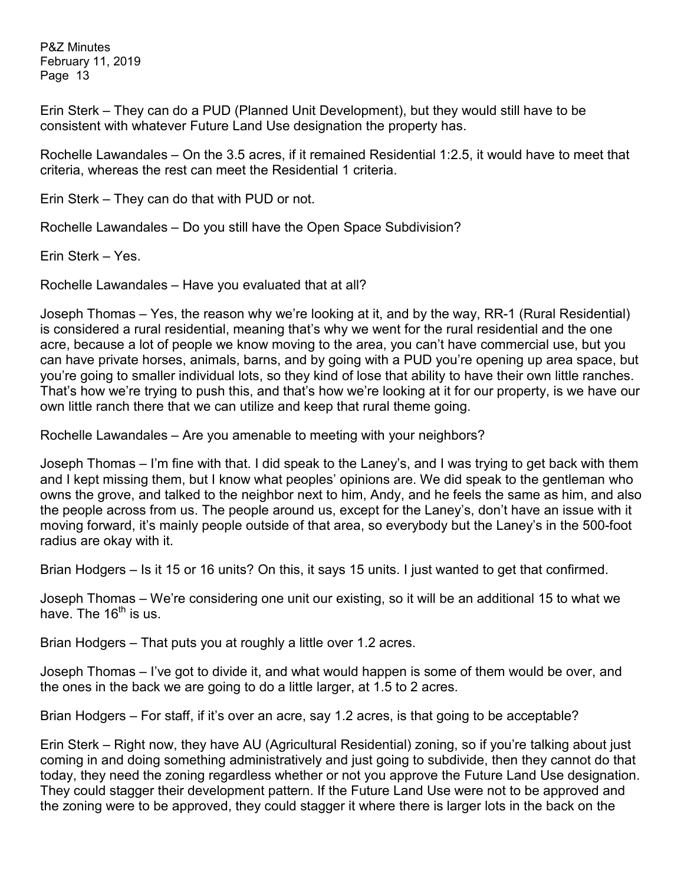Erin Sterk – They can do a PUD (Planned Unit Development), but they would still have to be consistent with whatever Future Land Use designation the property has.

Rochelle Lawandales – On the 3.5 acres, if it remained Residential 1:2.5, it would have to meet that criteria, whereas the rest can meet the Residential 1 criteria.

Erin Sterk – They can do that with PUD or not.

Rochelle Lawandales – Do you still have the Open Space Subdivision?

Erin Sterk – Yes.

Rochelle Lawandales – Have you evaluated that at all?

Joseph Thomas – Yes, the reason why we're looking at it, and by the way, RR-1 (Rural Residential) is considered a rural residential, meaning that's why we went for the rural residential and the one acre, because a lot of people we know moving to the area, you can't have commercial use, but you can have private horses, animals, barns, and by going with a PUD you're opening up area space, but you're going to smaller individual lots, so they kind of lose that ability to have their own little ranches. That's how we're trying to push this, and that's how we're looking at it for our property, is we have our own little ranch there that we can utilize and keep that rural theme going.

Rochelle Lawandales – Are you amenable to meeting with your neighbors?

Joseph Thomas – I'm fine with that. I did speak to the Laney's, and I was trying to get back with them and I kept missing them, but I know what peoples' opinions are. We did speak to the gentleman who owns the grove, and talked to the neighbor next to him, Andy, and he feels the same as him, and also the people across from us. The people around us, except for the Laney's, don't have an issue with it moving forward, it's mainly people outside of that area, so everybody but the Laney's in the 500-foot radius are okay with it.

Brian Hodgers – Is it 15 or 16 units? On this, it says 15 units. I just wanted to get that confirmed.

Joseph Thomas – We're considering one unit our existing, so it will be an additional 15 to what we have. The  $16<sup>th</sup>$  is us.

Brian Hodgers – That puts you at roughly a little over 1.2 acres.

Joseph Thomas – I've got to divide it, and what would happen is some of them would be over, and the ones in the back we are going to do a little larger, at 1.5 to 2 acres.

Brian Hodgers – For staff, if it's over an acre, say 1.2 acres, is that going to be acceptable?

Erin Sterk – Right now, they have AU (Agricultural Residential) zoning, so if you're talking about just coming in and doing something administratively and just going to subdivide, then they cannot do that today, they need the zoning regardless whether or not you approve the Future Land Use designation. They could stagger their development pattern. If the Future Land Use were not to be approved and the zoning were to be approved, they could stagger it where there is larger lots in the back on the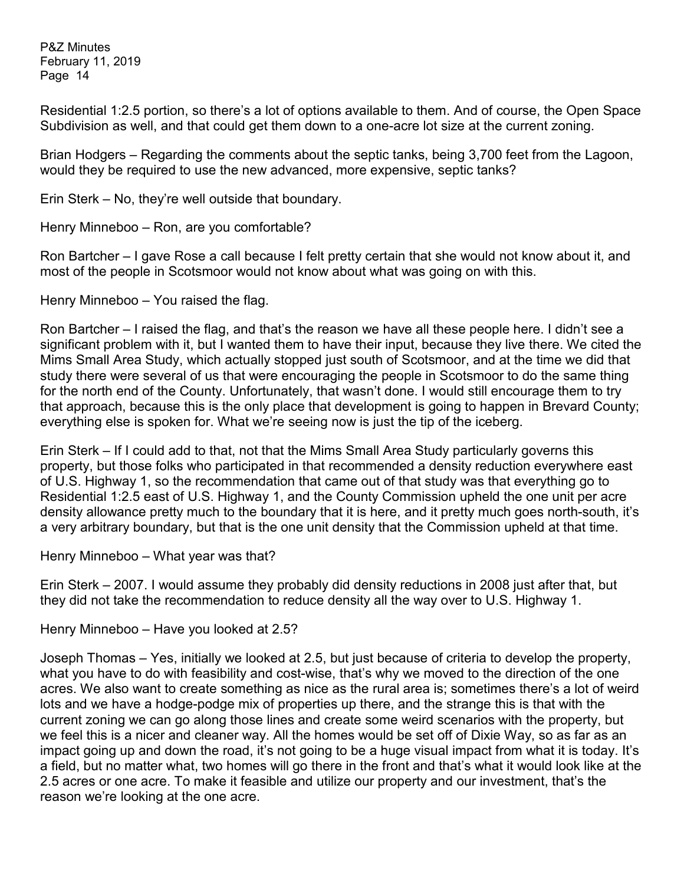Residential 1:2.5 portion, so there's a lot of options available to them. And of course, the Open Space Subdivision as well, and that could get them down to a one-acre lot size at the current zoning.

Brian Hodgers – Regarding the comments about the septic tanks, being 3,700 feet from the Lagoon, would they be required to use the new advanced, more expensive, septic tanks?

Erin Sterk – No, they're well outside that boundary.

Henry Minneboo – Ron, are you comfortable?

Ron Bartcher – I gave Rose a call because I felt pretty certain that she would not know about it, and most of the people in Scotsmoor would not know about what was going on with this.

Henry Minneboo – You raised the flag.

Ron Bartcher – I raised the flag, and that's the reason we have all these people here. I didn't see a significant problem with it, but I wanted them to have their input, because they live there. We cited the Mims Small Area Study, which actually stopped just south of Scotsmoor, and at the time we did that study there were several of us that were encouraging the people in Scotsmoor to do the same thing for the north end of the County. Unfortunately, that wasn't done. I would still encourage them to try that approach, because this is the only place that development is going to happen in Brevard County; everything else is spoken for. What we're seeing now is just the tip of the iceberg.

Erin Sterk – If I could add to that, not that the Mims Small Area Study particularly governs this property, but those folks who participated in that recommended a density reduction everywhere east of U.S. Highway 1, so the recommendation that came out of that study was that everything go to Residential 1:2.5 east of U.S. Highway 1, and the County Commission upheld the one unit per acre density allowance pretty much to the boundary that it is here, and it pretty much goes north-south, it's a very arbitrary boundary, but that is the one unit density that the Commission upheld at that time.

Henry Minneboo – What year was that?

Erin Sterk – 2007. I would assume they probably did density reductions in 2008 just after that, but they did not take the recommendation to reduce density all the way over to U.S. Highway 1.

Henry Minneboo – Have you looked at 2.5?

Joseph Thomas – Yes, initially we looked at 2.5, but just because of criteria to develop the property, what you have to do with feasibility and cost-wise, that's why we moved to the direction of the one acres. We also want to create something as nice as the rural area is; sometimes there's a lot of weird lots and we have a hodge-podge mix of properties up there, and the strange this is that with the current zoning we can go along those lines and create some weird scenarios with the property, but we feel this is a nicer and cleaner way. All the homes would be set off of Dixie Way, so as far as an impact going up and down the road, it's not going to be a huge visual impact from what it is today. It's a field, but no matter what, two homes will go there in the front and that's what it would look like at the 2.5 acres or one acre. To make it feasible and utilize our property and our investment, that's the reason we're looking at the one acre.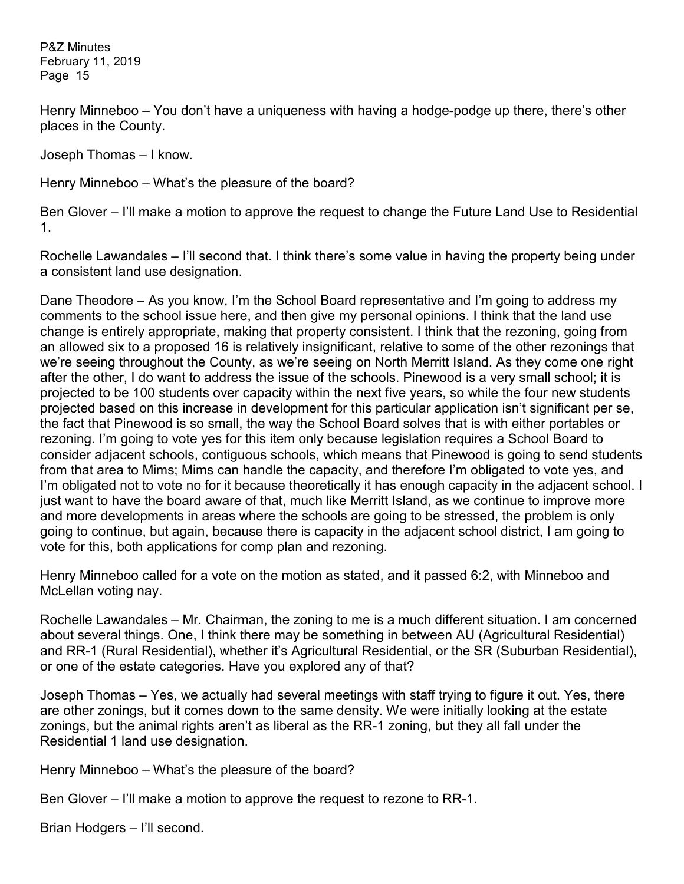Henry Minneboo – You don't have a uniqueness with having a hodge-podge up there, there's other places in the County.

Joseph Thomas – I know.

Henry Minneboo – What's the pleasure of the board?

Ben Glover – I'll make a motion to approve the request to change the Future Land Use to Residential 1.

Rochelle Lawandales – I'll second that. I think there's some value in having the property being under a consistent land use designation.

Dane Theodore – As you know, I'm the School Board representative and I'm going to address my comments to the school issue here, and then give my personal opinions. I think that the land use change is entirely appropriate, making that property consistent. I think that the rezoning, going from an allowed six to a proposed 16 is relatively insignificant, relative to some of the other rezonings that we're seeing throughout the County, as we're seeing on North Merritt Island. As they come one right after the other, I do want to address the issue of the schools. Pinewood is a very small school; it is projected to be 100 students over capacity within the next five years, so while the four new students projected based on this increase in development for this particular application isn't significant per se, the fact that Pinewood is so small, the way the School Board solves that is with either portables or rezoning. I'm going to vote yes for this item only because legislation requires a School Board to consider adjacent schools, contiguous schools, which means that Pinewood is going to send students from that area to Mims; Mims can handle the capacity, and therefore I'm obligated to vote yes, and I'm obligated not to vote no for it because theoretically it has enough capacity in the adjacent school. I just want to have the board aware of that, much like Merritt Island, as we continue to improve more and more developments in areas where the schools are going to be stressed, the problem is only going to continue, but again, because there is capacity in the adjacent school district, I am going to vote for this, both applications for comp plan and rezoning.

Henry Minneboo called for a vote on the motion as stated, and it passed 6:2, with Minneboo and McLellan voting nay.

Rochelle Lawandales – Mr. Chairman, the zoning to me is a much different situation. I am concerned about several things. One, I think there may be something in between AU (Agricultural Residential) and RR-1 (Rural Residential), whether it's Agricultural Residential, or the SR (Suburban Residential), or one of the estate categories. Have you explored any of that?

Joseph Thomas – Yes, we actually had several meetings with staff trying to figure it out. Yes, there are other zonings, but it comes down to the same density. We were initially looking at the estate zonings, but the animal rights aren't as liberal as the RR-1 zoning, but they all fall under the Residential 1 land use designation.

Henry Minneboo – What's the pleasure of the board?

Ben Glover – I'll make a motion to approve the request to rezone to RR-1.

Brian Hodgers – I'll second.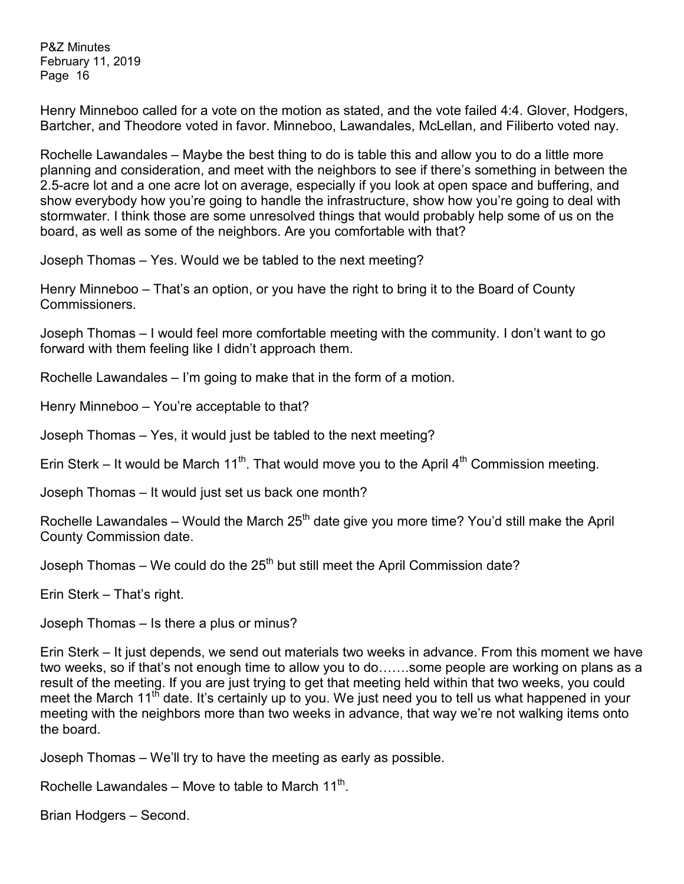Henry Minneboo called for a vote on the motion as stated, and the vote failed 4:4. Glover, Hodgers, Bartcher, and Theodore voted in favor. Minneboo, Lawandales, McLellan, and Filiberto voted nay.

Rochelle Lawandales – Maybe the best thing to do is table this and allow you to do a little more planning and consideration, and meet with the neighbors to see if there's something in between the 2.5-acre lot and a one acre lot on average, especially if you look at open space and buffering, and show everybody how you're going to handle the infrastructure, show how you're going to deal with stormwater. I think those are some unresolved things that would probably help some of us on the board, as well as some of the neighbors. Are you comfortable with that?

Joseph Thomas – Yes. Would we be tabled to the next meeting?

Henry Minneboo – That's an option, or you have the right to bring it to the Board of County Commissioners.

Joseph Thomas – I would feel more comfortable meeting with the community. I don't want to go forward with them feeling like I didn't approach them.

Rochelle Lawandales – I'm going to make that in the form of a motion.

Henry Minneboo – You're acceptable to that?

Joseph Thomas – Yes, it would just be tabled to the next meeting?

Erin Sterk – It would be March 11<sup>th</sup>. That would move you to the April 4<sup>th</sup> Commission meeting.

Joseph Thomas – It would just set us back one month?

Rochelle Lawandales – Would the March  $25<sup>th</sup>$  date give you more time? You'd still make the April County Commission date.

Joseph Thomas – We could do the  $25<sup>th</sup>$  but still meet the April Commission date?

Erin Sterk – That's right.

Joseph Thomas – Is there a plus or minus?

Erin Sterk – It just depends, we send out materials two weeks in advance. From this moment we have two weeks, so if that's not enough time to allow you to do…….some people are working on plans as a result of the meeting. If you are just trying to get that meeting held within that two weeks, you could meet the March 11<sup>th</sup> date. It's certainly up to you. We just need you to tell us what happened in your meeting with the neighbors more than two weeks in advance, that way we're not walking items onto the board.

Joseph Thomas – We'll try to have the meeting as early as possible.

Rochelle Lawandales – Move to table to March  $11^{th}$ .

Brian Hodgers – Second.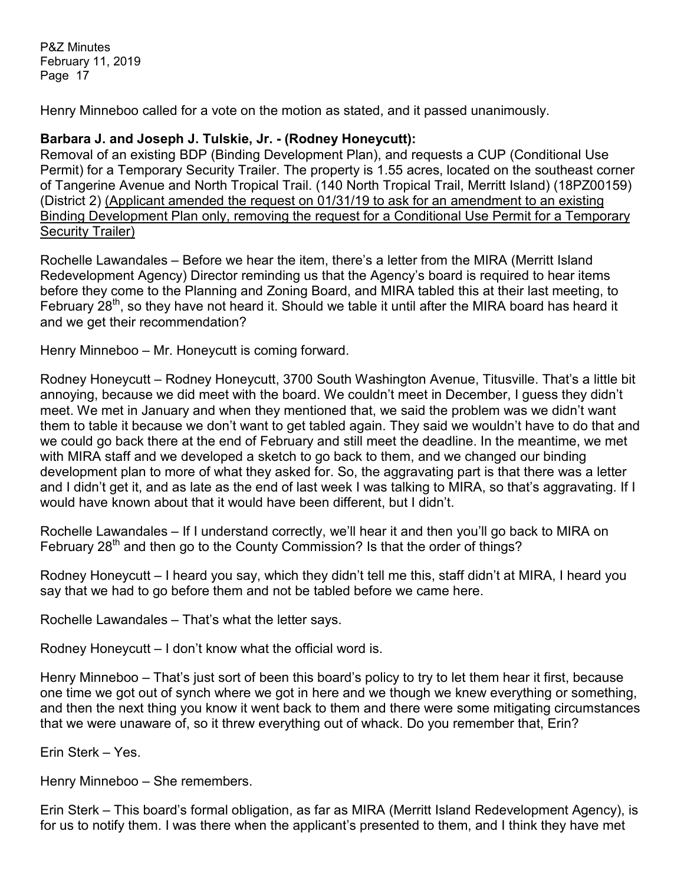Henry Minneboo called for a vote on the motion as stated, and it passed unanimously.

# **Barbara J. and Joseph J. Tulskie, Jr. - (Rodney Honeycutt):**

Removal of an existing BDP (Binding Development Plan), and requests a CUP (Conditional Use Permit) for a Temporary Security Trailer. The property is 1.55 acres, located on the southeast corner of Tangerine Avenue and North Tropical Trail. (140 North Tropical Trail, Merritt Island) (18PZ00159) (District 2) (Applicant amended the request on 01/31/19 to ask for an amendment to an existing Binding Development Plan only, removing the request for a Conditional Use Permit for a Temporary Security Trailer)

Rochelle Lawandales – Before we hear the item, there's a letter from the MIRA (Merritt Island Redevelopment Agency) Director reminding us that the Agency's board is required to hear items before they come to the Planning and Zoning Board, and MIRA tabled this at their last meeting, to February 28<sup>th</sup>, so they have not heard it. Should we table it until after the MIRA board has heard it and we get their recommendation?

Henry Minneboo – Mr. Honeycutt is coming forward.

Rodney Honeycutt – Rodney Honeycutt, 3700 South Washington Avenue, Titusville. That's a little bit annoying, because we did meet with the board. We couldn't meet in December, I guess they didn't meet. We met in January and when they mentioned that, we said the problem was we didn't want them to table it because we don't want to get tabled again. They said we wouldn't have to do that and we could go back there at the end of February and still meet the deadline. In the meantime, we met with MIRA staff and we developed a sketch to go back to them, and we changed our binding development plan to more of what they asked for. So, the aggravating part is that there was a letter and I didn't get it, and as late as the end of last week I was talking to MIRA, so that's aggravating. If I would have known about that it would have been different, but I didn't.

Rochelle Lawandales – If I understand correctly, we'll hear it and then you'll go back to MIRA on February 28<sup>th</sup> and then go to the County Commission? Is that the order of things?

Rodney Honeycutt – I heard you say, which they didn't tell me this, staff didn't at MIRA, I heard you say that we had to go before them and not be tabled before we came here.

Rochelle Lawandales – That's what the letter says.

Rodney Honeycutt – I don't know what the official word is.

Henry Minneboo – That's just sort of been this board's policy to try to let them hear it first, because one time we got out of synch where we got in here and we though we knew everything or something, and then the next thing you know it went back to them and there were some mitigating circumstances that we were unaware of, so it threw everything out of whack. Do you remember that, Erin?

Erin Sterk – Yes.

Henry Minneboo – She remembers.

Erin Sterk – This board's formal obligation, as far as MIRA (Merritt Island Redevelopment Agency), is for us to notify them. I was there when the applicant's presented to them, and I think they have met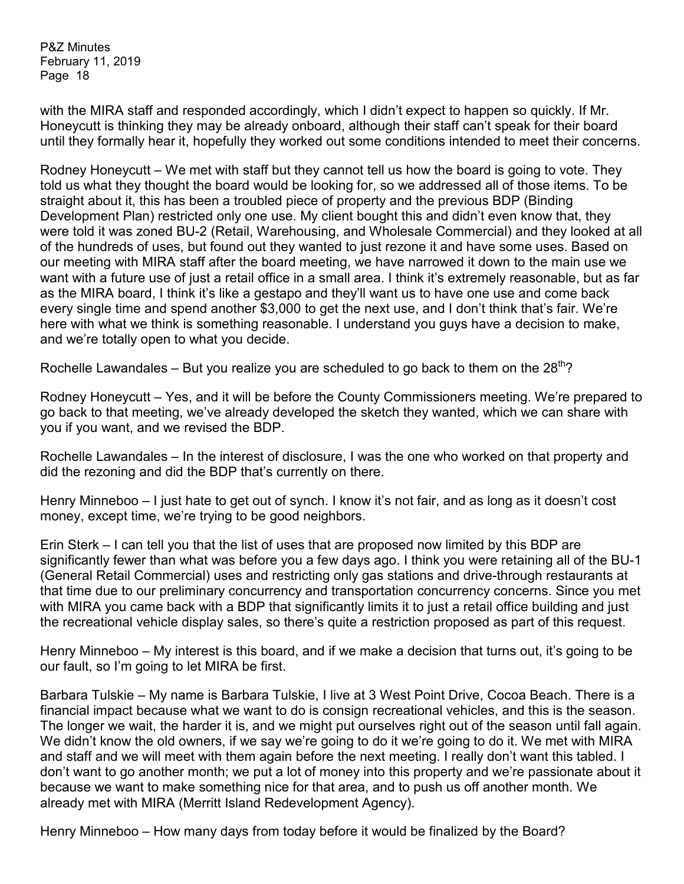with the MIRA staff and responded accordingly, which I didn't expect to happen so quickly. If Mr. Honeycutt is thinking they may be already onboard, although their staff can't speak for their board until they formally hear it, hopefully they worked out some conditions intended to meet their concerns.

Rodney Honeycutt – We met with staff but they cannot tell us how the board is going to vote. They told us what they thought the board would be looking for, so we addressed all of those items. To be straight about it, this has been a troubled piece of property and the previous BDP (Binding Development Plan) restricted only one use. My client bought this and didn't even know that, they were told it was zoned BU-2 (Retail, Warehousing, and Wholesale Commercial) and they looked at all of the hundreds of uses, but found out they wanted to just rezone it and have some uses. Based on our meeting with MIRA staff after the board meeting, we have narrowed it down to the main use we want with a future use of just a retail office in a small area. I think it's extremely reasonable, but as far as the MIRA board, I think it's like a gestapo and they'll want us to have one use and come back every single time and spend another \$3,000 to get the next use, and I don't think that's fair. We're here with what we think is something reasonable. I understand you guys have a decision to make, and we're totally open to what you decide.

Rochelle Lawandales – But you realize you are scheduled to go back to them on the  $28^{th}$ ?

Rodney Honeycutt – Yes, and it will be before the County Commissioners meeting. We're prepared to go back to that meeting, we've already developed the sketch they wanted, which we can share with you if you want, and we revised the BDP.

Rochelle Lawandales – In the interest of disclosure, I was the one who worked on that property and did the rezoning and did the BDP that's currently on there.

Henry Minneboo – I just hate to get out of synch. I know it's not fair, and as long as it doesn't cost money, except time, we're trying to be good neighbors.

Erin Sterk – I can tell you that the list of uses that are proposed now limited by this BDP are significantly fewer than what was before you a few days ago. I think you were retaining all of the BU-1 (General Retail Commercial) uses and restricting only gas stations and drive-through restaurants at that time due to our preliminary concurrency and transportation concurrency concerns. Since you met with MIRA you came back with a BDP that significantly limits it to just a retail office building and just the recreational vehicle display sales, so there's quite a restriction proposed as part of this request.

Henry Minneboo – My interest is this board, and if we make a decision that turns out, it's going to be our fault, so I'm going to let MIRA be first.

Barbara Tulskie – My name is Barbara Tulskie, I live at 3 West Point Drive, Cocoa Beach. There is a financial impact because what we want to do is consign recreational vehicles, and this is the season. The longer we wait, the harder it is, and we might put ourselves right out of the season until fall again. We didn't know the old owners, if we say we're going to do it we're going to do it. We met with MIRA and staff and we will meet with them again before the next meeting. I really don't want this tabled. I don't want to go another month; we put a lot of money into this property and we're passionate about it because we want to make something nice for that area, and to push us off another month. We already met with MIRA (Merritt Island Redevelopment Agency).

Henry Minneboo – How many days from today before it would be finalized by the Board?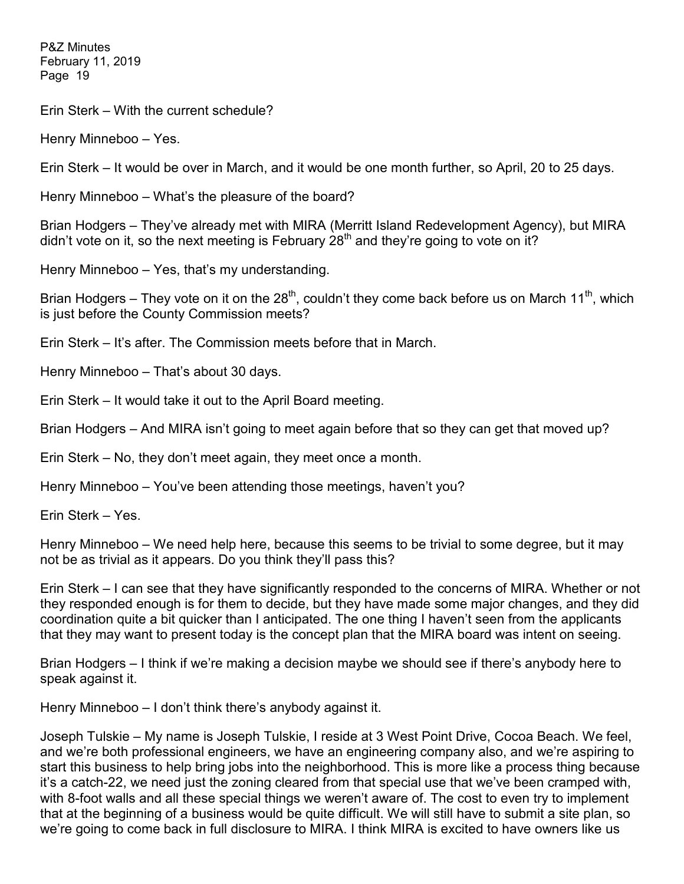Erin Sterk – With the current schedule?

Henry Minneboo – Yes.

Erin Sterk – It would be over in March, and it would be one month further, so April, 20 to 25 days.

Henry Minneboo – What's the pleasure of the board?

Brian Hodgers – They've already met with MIRA (Merritt Island Redevelopment Agency), but MIRA didn't vote on it, so the next meeting is February  $28<sup>th</sup>$  and they're going to vote on it?

Henry Minneboo – Yes, that's my understanding.

Brian Hodgers – They vote on it on the 28<sup>th</sup>, couldn't they come back before us on March 11<sup>th</sup>, which is just before the County Commission meets?

Erin Sterk – It's after. The Commission meets before that in March.

Henry Minneboo – That's about 30 days.

Erin Sterk – It would take it out to the April Board meeting.

Brian Hodgers – And MIRA isn't going to meet again before that so they can get that moved up?

Erin Sterk – No, they don't meet again, they meet once a month.

Henry Minneboo – You've been attending those meetings, haven't you?

Erin Sterk – Yes.

Henry Minneboo – We need help here, because this seems to be trivial to some degree, but it may not be as trivial as it appears. Do you think they'll pass this?

Erin Sterk – I can see that they have significantly responded to the concerns of MIRA. Whether or not they responded enough is for them to decide, but they have made some major changes, and they did coordination quite a bit quicker than I anticipated. The one thing I haven't seen from the applicants that they may want to present today is the concept plan that the MIRA board was intent on seeing.

Brian Hodgers – I think if we're making a decision maybe we should see if there's anybody here to speak against it.

Henry Minneboo – I don't think there's anybody against it.

Joseph Tulskie – My name is Joseph Tulskie, I reside at 3 West Point Drive, Cocoa Beach. We feel, and we're both professional engineers, we have an engineering company also, and we're aspiring to start this business to help bring jobs into the neighborhood. This is more like a process thing because it's a catch-22, we need just the zoning cleared from that special use that we've been cramped with, with 8-foot walls and all these special things we weren't aware of. The cost to even try to implement that at the beginning of a business would be quite difficult. We will still have to submit a site plan, so we're going to come back in full disclosure to MIRA. I think MIRA is excited to have owners like us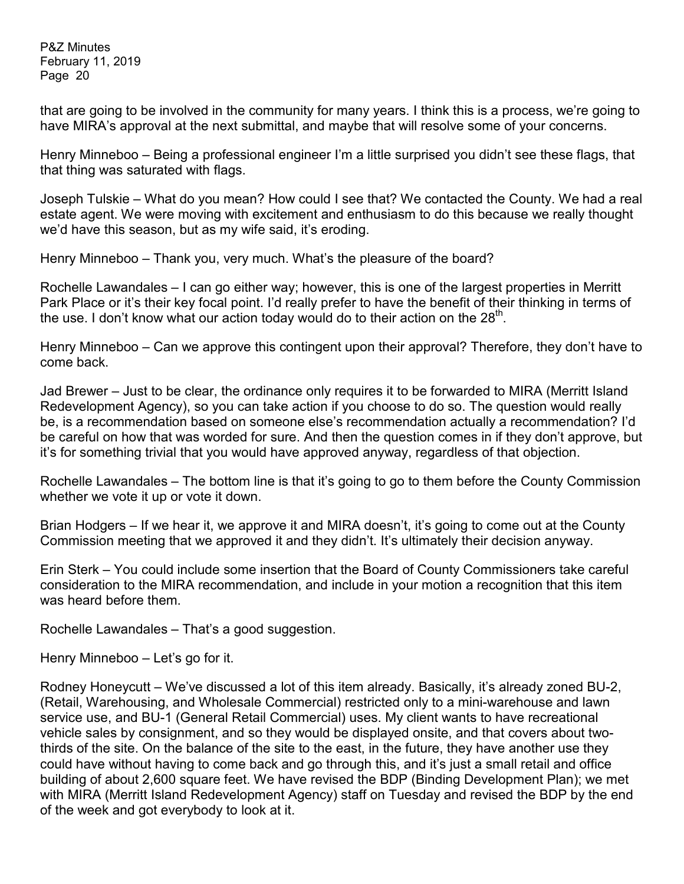that are going to be involved in the community for many years. I think this is a process, we're going to have MIRA's approval at the next submittal, and maybe that will resolve some of your concerns.

Henry Minneboo – Being a professional engineer I'm a little surprised you didn't see these flags, that that thing was saturated with flags.

Joseph Tulskie – What do you mean? How could I see that? We contacted the County. We had a real estate agent. We were moving with excitement and enthusiasm to do this because we really thought we'd have this season, but as my wife said, it's eroding.

Henry Minneboo – Thank you, very much. What's the pleasure of the board?

Rochelle Lawandales – I can go either way; however, this is one of the largest properties in Merritt Park Place or it's their key focal point. I'd really prefer to have the benefit of their thinking in terms of the use. I don't know what our action today would do to their action on the  $28<sup>th</sup>$ .

Henry Minneboo – Can we approve this contingent upon their approval? Therefore, they don't have to come back.

Jad Brewer – Just to be clear, the ordinance only requires it to be forwarded to MIRA (Merritt Island Redevelopment Agency), so you can take action if you choose to do so. The question would really be, is a recommendation based on someone else's recommendation actually a recommendation? I'd be careful on how that was worded for sure. And then the question comes in if they don't approve, but it's for something trivial that you would have approved anyway, regardless of that objection.

Rochelle Lawandales – The bottom line is that it's going to go to them before the County Commission whether we vote it up or vote it down.

Brian Hodgers – If we hear it, we approve it and MIRA doesn't, it's going to come out at the County Commission meeting that we approved it and they didn't. It's ultimately their decision anyway.

Erin Sterk – You could include some insertion that the Board of County Commissioners take careful consideration to the MIRA recommendation, and include in your motion a recognition that this item was heard before them.

Rochelle Lawandales – That's a good suggestion.

Henry Minneboo – Let's go for it.

Rodney Honeycutt – We've discussed a lot of this item already. Basically, it's already zoned BU-2, (Retail, Warehousing, and Wholesale Commercial) restricted only to a mini-warehouse and lawn service use, and BU-1 (General Retail Commercial) uses. My client wants to have recreational vehicle sales by consignment, and so they would be displayed onsite, and that covers about twothirds of the site. On the balance of the site to the east, in the future, they have another use they could have without having to come back and go through this, and it's just a small retail and office building of about 2,600 square feet. We have revised the BDP (Binding Development Plan); we met with MIRA (Merritt Island Redevelopment Agency) staff on Tuesday and revised the BDP by the end of the week and got everybody to look at it.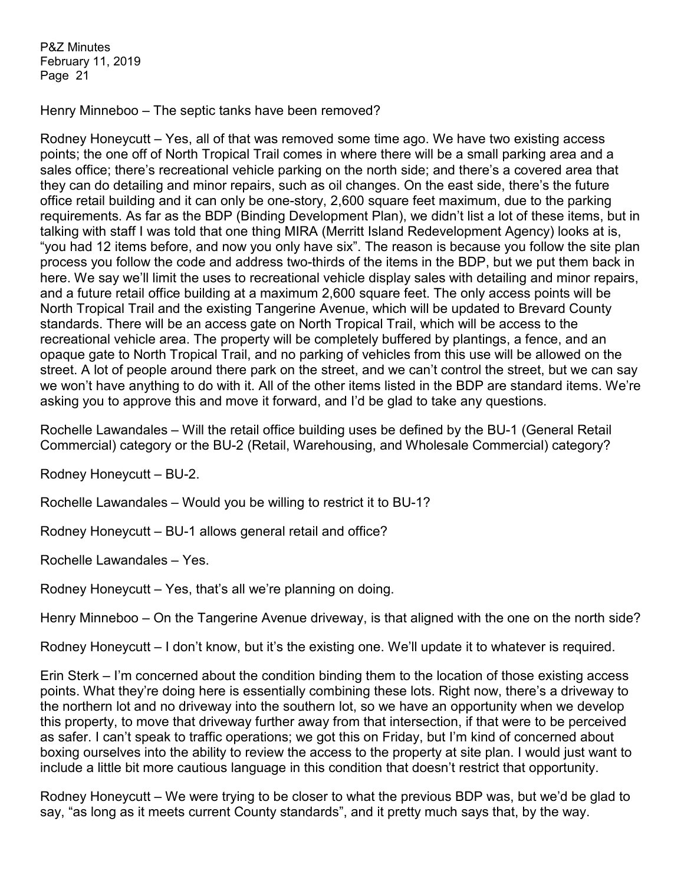Henry Minneboo – The septic tanks have been removed?

Rodney Honeycutt – Yes, all of that was removed some time ago. We have two existing access points; the one off of North Tropical Trail comes in where there will be a small parking area and a sales office; there's recreational vehicle parking on the north side; and there's a covered area that they can do detailing and minor repairs, such as oil changes. On the east side, there's the future office retail building and it can only be one-story, 2,600 square feet maximum, due to the parking requirements. As far as the BDP (Binding Development Plan), we didn't list a lot of these items, but in talking with staff I was told that one thing MIRA (Merritt Island Redevelopment Agency) looks at is, "you had 12 items before, and now you only have six". The reason is because you follow the site plan process you follow the code and address two-thirds of the items in the BDP, but we put them back in here. We say we'll limit the uses to recreational vehicle display sales with detailing and minor repairs, and a future retail office building at a maximum 2,600 square feet. The only access points will be North Tropical Trail and the existing Tangerine Avenue, which will be updated to Brevard County standards. There will be an access gate on North Tropical Trail, which will be access to the recreational vehicle area. The property will be completely buffered by plantings, a fence, and an opaque gate to North Tropical Trail, and no parking of vehicles from this use will be allowed on the street. A lot of people around there park on the street, and we can't control the street, but we can say we won't have anything to do with it. All of the other items listed in the BDP are standard items. We're asking you to approve this and move it forward, and I'd be glad to take any questions.

Rochelle Lawandales – Will the retail office building uses be defined by the BU-1 (General Retail Commercial) category or the BU-2 (Retail, Warehousing, and Wholesale Commercial) category?

Rodney Honeycutt – BU-2.

Rochelle Lawandales – Would you be willing to restrict it to BU-1?

Rodney Honeycutt – BU-1 allows general retail and office?

Rochelle Lawandales – Yes.

Rodney Honeycutt – Yes, that's all we're planning on doing.

Henry Minneboo – On the Tangerine Avenue driveway, is that aligned with the one on the north side?

Rodney Honeycutt – I don't know, but it's the existing one. We'll update it to whatever is required.

Erin Sterk – I'm concerned about the condition binding them to the location of those existing access points. What they're doing here is essentially combining these lots. Right now, there's a driveway to the northern lot and no driveway into the southern lot, so we have an opportunity when we develop this property, to move that driveway further away from that intersection, if that were to be perceived as safer. I can't speak to traffic operations; we got this on Friday, but I'm kind of concerned about boxing ourselves into the ability to review the access to the property at site plan. I would just want to include a little bit more cautious language in this condition that doesn't restrict that opportunity.

Rodney Honeycutt – We were trying to be closer to what the previous BDP was, but we'd be glad to say, "as long as it meets current County standards", and it pretty much says that, by the way.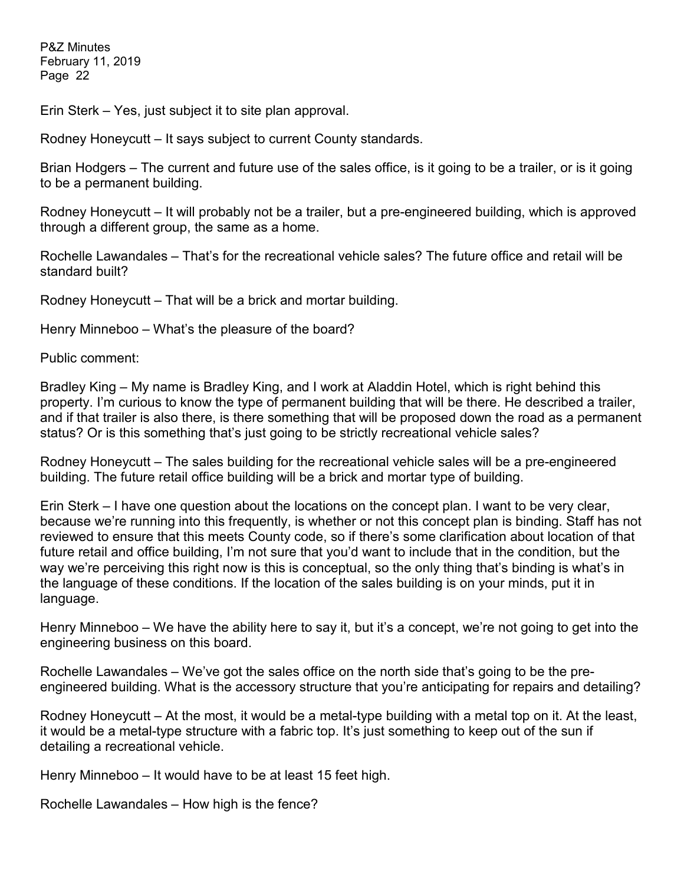Erin Sterk – Yes, just subject it to site plan approval.

Rodney Honeycutt – It says subject to current County standards.

Brian Hodgers – The current and future use of the sales office, is it going to be a trailer, or is it going to be a permanent building.

Rodney Honeycutt – It will probably not be a trailer, but a pre-engineered building, which is approved through a different group, the same as a home.

Rochelle Lawandales – That's for the recreational vehicle sales? The future office and retail will be standard built?

Rodney Honeycutt – That will be a brick and mortar building.

Henry Minneboo – What's the pleasure of the board?

Public comment:

Bradley King – My name is Bradley King, and I work at Aladdin Hotel, which is right behind this property. I'm curious to know the type of permanent building that will be there. He described a trailer, and if that trailer is also there, is there something that will be proposed down the road as a permanent status? Or is this something that's just going to be strictly recreational vehicle sales?

Rodney Honeycutt – The sales building for the recreational vehicle sales will be a pre-engineered building. The future retail office building will be a brick and mortar type of building.

Erin Sterk – I have one question about the locations on the concept plan. I want to be very clear, because we're running into this frequently, is whether or not this concept plan is binding. Staff has not reviewed to ensure that this meets County code, so if there's some clarification about location of that future retail and office building, I'm not sure that you'd want to include that in the condition, but the way we're perceiving this right now is this is conceptual, so the only thing that's binding is what's in the language of these conditions. If the location of the sales building is on your minds, put it in language.

Henry Minneboo – We have the ability here to say it, but it's a concept, we're not going to get into the engineering business on this board.

Rochelle Lawandales – We've got the sales office on the north side that's going to be the preengineered building. What is the accessory structure that you're anticipating for repairs and detailing?

Rodney Honeycutt – At the most, it would be a metal-type building with a metal top on it. At the least, it would be a metal-type structure with a fabric top. It's just something to keep out of the sun if detailing a recreational vehicle.

Henry Minneboo – It would have to be at least 15 feet high.

Rochelle Lawandales – How high is the fence?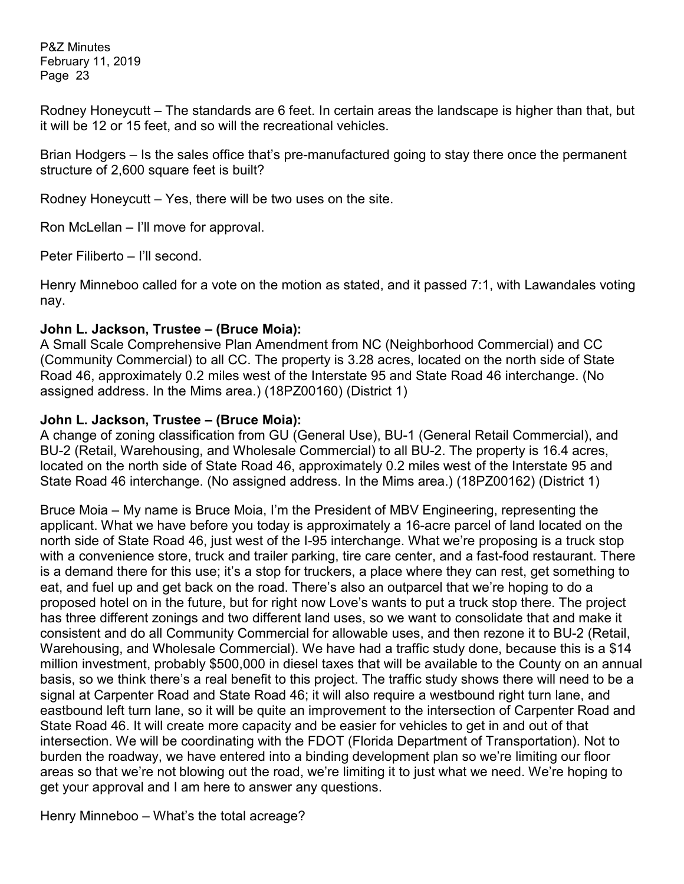Rodney Honeycutt – The standards are 6 feet. In certain areas the landscape is higher than that, but it will be 12 or 15 feet, and so will the recreational vehicles.

Brian Hodgers – Is the sales office that's pre-manufactured going to stay there once the permanent structure of 2,600 square feet is built?

Rodney Honeycutt – Yes, there will be two uses on the site.

Ron McLellan – I'll move for approval.

Peter Filiberto – I'll second.

Henry Minneboo called for a vote on the motion as stated, and it passed 7:1, with Lawandales voting nay.

## **John L. Jackson, Trustee – (Bruce Moia):**

A Small Scale Comprehensive Plan Amendment from NC (Neighborhood Commercial) and CC (Community Commercial) to all CC. The property is 3.28 acres, located on the north side of State Road 46, approximately 0.2 miles west of the Interstate 95 and State Road 46 interchange. (No assigned address. In the Mims area.) (18PZ00160) (District 1)

## **John L. Jackson, Trustee – (Bruce Moia):**

A change of zoning classification from GU (General Use), BU-1 (General Retail Commercial), and BU-2 (Retail, Warehousing, and Wholesale Commercial) to all BU-2. The property is 16.4 acres, located on the north side of State Road 46, approximately 0.2 miles west of the Interstate 95 and State Road 46 interchange. (No assigned address. In the Mims area.) (18PZ00162) (District 1)

Bruce Moia – My name is Bruce Moia, I'm the President of MBV Engineering, representing the applicant. What we have before you today is approximately a 16-acre parcel of land located on the north side of State Road 46, just west of the I-95 interchange. What we're proposing is a truck stop with a convenience store, truck and trailer parking, tire care center, and a fast-food restaurant. There is a demand there for this use; it's a stop for truckers, a place where they can rest, get something to eat, and fuel up and get back on the road. There's also an outparcel that we're hoping to do a proposed hotel on in the future, but for right now Love's wants to put a truck stop there. The project has three different zonings and two different land uses, so we want to consolidate that and make it consistent and do all Community Commercial for allowable uses, and then rezone it to BU-2 (Retail, Warehousing, and Wholesale Commercial). We have had a traffic study done, because this is a \$14 million investment, probably \$500,000 in diesel taxes that will be available to the County on an annual basis, so we think there's a real benefit to this project. The traffic study shows there will need to be a signal at Carpenter Road and State Road 46; it will also require a westbound right turn lane, and eastbound left turn lane, so it will be quite an improvement to the intersection of Carpenter Road and State Road 46. It will create more capacity and be easier for vehicles to get in and out of that intersection. We will be coordinating with the FDOT (Florida Department of Transportation). Not to burden the roadway, we have entered into a binding development plan so we're limiting our floor areas so that we're not blowing out the road, we're limiting it to just what we need. We're hoping to get your approval and I am here to answer any questions.

Henry Minneboo – What's the total acreage?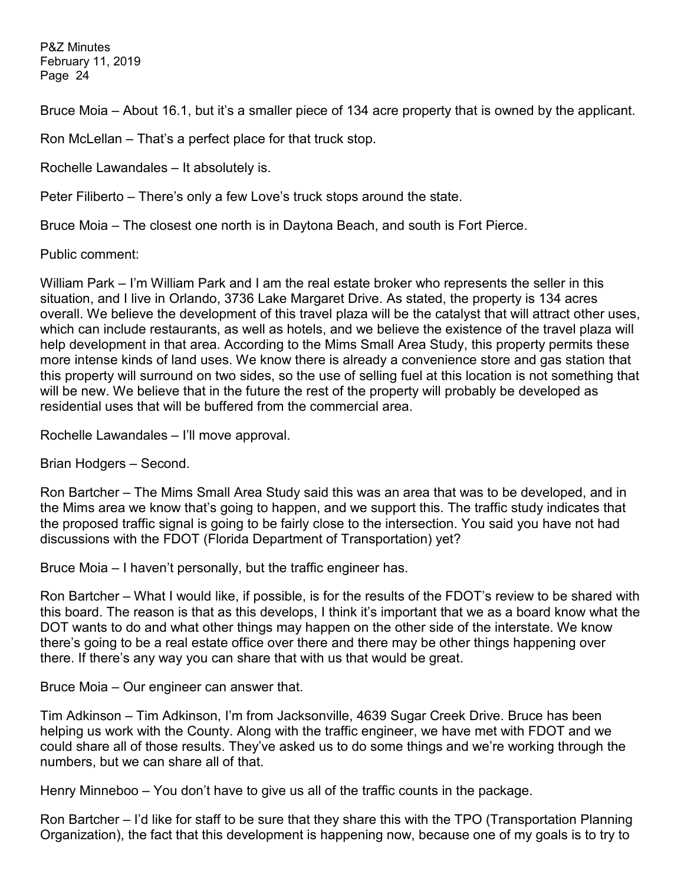Bruce Moia – About 16.1, but it's a smaller piece of 134 acre property that is owned by the applicant.

Ron McLellan – That's a perfect place for that truck stop.

Rochelle Lawandales – It absolutely is.

Peter Filiberto – There's only a few Love's truck stops around the state.

Bruce Moia – The closest one north is in Daytona Beach, and south is Fort Pierce.

Public comment:

William Park – I'm William Park and I am the real estate broker who represents the seller in this situation, and I live in Orlando, 3736 Lake Margaret Drive. As stated, the property is 134 acres overall. We believe the development of this travel plaza will be the catalyst that will attract other uses, which can include restaurants, as well as hotels, and we believe the existence of the travel plaza will help development in that area. According to the Mims Small Area Study, this property permits these more intense kinds of land uses. We know there is already a convenience store and gas station that this property will surround on two sides, so the use of selling fuel at this location is not something that will be new. We believe that in the future the rest of the property will probably be developed as residential uses that will be buffered from the commercial area.

Rochelle Lawandales – I'll move approval.

Brian Hodgers – Second.

Ron Bartcher – The Mims Small Area Study said this was an area that was to be developed, and in the Mims area we know that's going to happen, and we support this. The traffic study indicates that the proposed traffic signal is going to be fairly close to the intersection. You said you have not had discussions with the FDOT (Florida Department of Transportation) yet?

Bruce Moia – I haven't personally, but the traffic engineer has.

Ron Bartcher – What I would like, if possible, is for the results of the FDOT's review to be shared with this board. The reason is that as this develops, I think it's important that we as a board know what the DOT wants to do and what other things may happen on the other side of the interstate. We know there's going to be a real estate office over there and there may be other things happening over there. If there's any way you can share that with us that would be great.

Bruce Moia – Our engineer can answer that.

Tim Adkinson – Tim Adkinson, I'm from Jacksonville, 4639 Sugar Creek Drive. Bruce has been helping us work with the County. Along with the traffic engineer, we have met with FDOT and we could share all of those results. They've asked us to do some things and we're working through the numbers, but we can share all of that.

Henry Minneboo – You don't have to give us all of the traffic counts in the package.

Ron Bartcher – I'd like for staff to be sure that they share this with the TPO (Transportation Planning Organization), the fact that this development is happening now, because one of my goals is to try to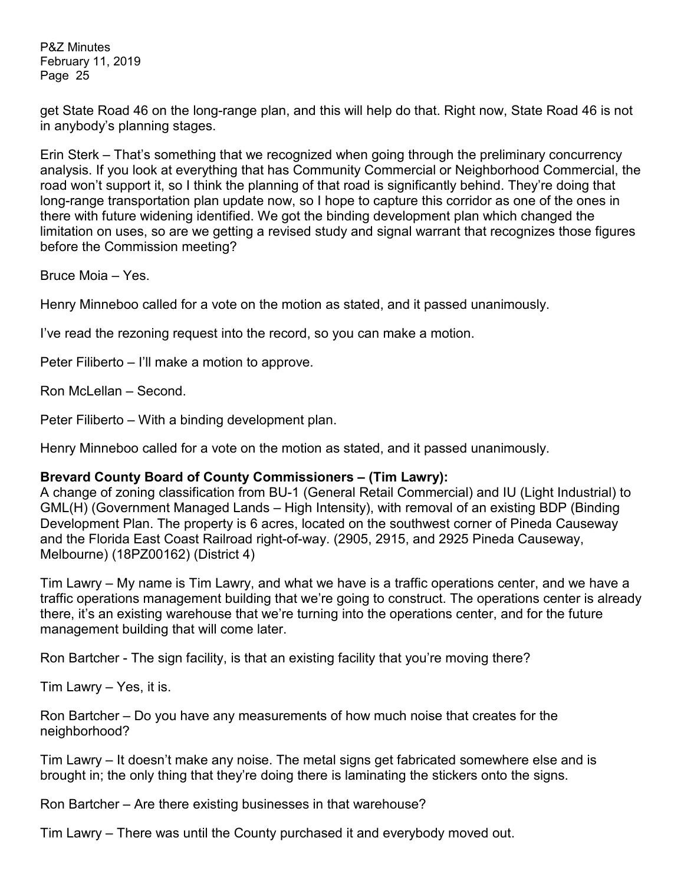get State Road 46 on the long-range plan, and this will help do that. Right now, State Road 46 is not in anybody's planning stages.

Erin Sterk – That's something that we recognized when going through the preliminary concurrency analysis. If you look at everything that has Community Commercial or Neighborhood Commercial, the road won't support it, so I think the planning of that road is significantly behind. They're doing that long-range transportation plan update now, so I hope to capture this corridor as one of the ones in there with future widening identified. We got the binding development plan which changed the limitation on uses, so are we getting a revised study and signal warrant that recognizes those figures before the Commission meeting?

Bruce Moia – Yes.

Henry Minneboo called for a vote on the motion as stated, and it passed unanimously.

I've read the rezoning request into the record, so you can make a motion.

Peter Filiberto – I'll make a motion to approve.

Ron McLellan – Second.

Peter Filiberto – With a binding development plan.

Henry Minneboo called for a vote on the motion as stated, and it passed unanimously.

#### **Brevard County Board of County Commissioners – (Tim Lawry):**

A change of zoning classification from BU-1 (General Retail Commercial) and IU (Light Industrial) to GML(H) (Government Managed Lands – High Intensity), with removal of an existing BDP (Binding Development Plan. The property is 6 acres, located on the southwest corner of Pineda Causeway and the Florida East Coast Railroad right-of-way. (2905, 2915, and 2925 Pineda Causeway, Melbourne) (18PZ00162) (District 4)

Tim Lawry – My name is Tim Lawry, and what we have is a traffic operations center, and we have a traffic operations management building that we're going to construct. The operations center is already there, it's an existing warehouse that we're turning into the operations center, and for the future management building that will come later.

Ron Bartcher - The sign facility, is that an existing facility that you're moving there?

Tim Lawry – Yes, it is.

Ron Bartcher – Do you have any measurements of how much noise that creates for the neighborhood?

Tim Lawry – It doesn't make any noise. The metal signs get fabricated somewhere else and is brought in; the only thing that they're doing there is laminating the stickers onto the signs.

Ron Bartcher – Are there existing businesses in that warehouse?

Tim Lawry – There was until the County purchased it and everybody moved out.